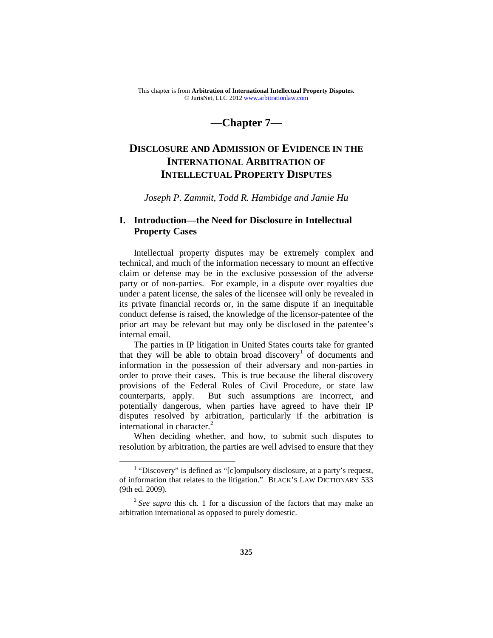This chapter is from **Arbitration of International Intellectual Property Disputes.** © JurisNet, LLC 201[2 www.arbitrationlaw.com](http://www.arbitrationlaw.com/)

# **—Chapter 7—**

# **DISCLOSURE AND ADMISSION OF EVIDENCE IN THE INTERNATIONAL ARBITRATION OF INTELLECTUAL PROPERTY DISPUTES**

*Joseph P. Zammit, Todd R. Hambidge and Jamie Hu*

## **I. Introduction—the Need for Disclosure in Intellectual Property Cases**

Intellectual property disputes may be extremely complex and technical, and much of the information necessary to mount an effective claim or defense may be in the exclusive possession of the adverse party or of non-parties. For example, in a dispute over royalties due under a patent license, the sales of the licensee will only be revealed in its private financial records or, in the same dispute if an inequitable conduct defense is raised, the knowledge of the licensor-patentee of the prior art may be relevant but may only be disclosed in the patentee's internal email.

The parties in IP litigation in United States courts take for granted that they will be able to obtain broad discovery<sup>[1](#page-0-0)</sup> of documents and information in the possession of their adversary and non-parties in order to prove their cases. This is true because the liberal discovery provisions of the Federal Rules of Civil Procedure, or state law counterparts, apply. But such assumptions are incorrect, and potentially dangerous, when parties have agreed to have their IP disputes resolved by arbitration, particularly if the arbitration is international in character.<sup>[2](#page-0-1)</sup>

When deciding whether, and how, to submit such disputes to resolution by arbitration, the parties are well advised to ensure that they

<span id="page-0-0"></span> $<sup>1</sup>$  "Discovery" is defined as "[c]ompulsory disclosure, at a party's request,</sup> of information that relates to the litigation." BLACK'S LAW DICTIONARY 533 (9th ed. 2009).

<span id="page-0-1"></span><sup>&</sup>lt;sup>2</sup> See supra this ch. 1 for a discussion of the factors that may make an arbitration international as opposed to purely domestic.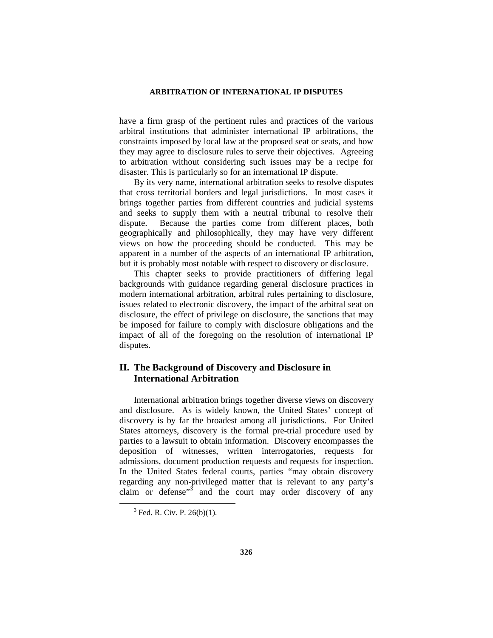have a firm grasp of the pertinent rules and practices of the various arbitral institutions that administer international IP arbitrations, the constraints imposed by local law at the proposed seat or seats, and how they may agree to disclosure rules to serve their objectives. Agreeing to arbitration without considering such issues may be a recipe for disaster. This is particularly so for an international IP dispute.

By its very name, international arbitration seeks to resolve disputes that cross territorial borders and legal jurisdictions. In most cases it brings together parties from different countries and judicial systems and seeks to supply them with a neutral tribunal to resolve their dispute. Because the parties come from different places, both geographically and philosophically, they may have very different views on how the proceeding should be conducted. This may be apparent in a number of the aspects of an international IP arbitration, but it is probably most notable with respect to discovery or disclosure.

This chapter seeks to provide practitioners of differing legal backgrounds with guidance regarding general disclosure practices in modern international arbitration, arbitral rules pertaining to disclosure, issues related to electronic discovery, the impact of the arbitral seat on disclosure, the effect of privilege on disclosure, the sanctions that may be imposed for failure to comply with disclosure obligations and the impact of all of the foregoing on the resolution of international IP disputes.

## **II. The Background of Discovery and Disclosure in International Arbitration**

International arbitration brings together diverse views on discovery and disclosure. As is widely known, the United States' concept of discovery is by far the broadest among all jurisdictions. For United States attorneys, discovery is the formal pre-trial procedure used by parties to a lawsuit to obtain information. Discovery encompasses the deposition of witnesses, written interrogatories, requests for admissions, document production requests and requests for inspection. In the United States federal courts, parties "may obtain discovery regarding any non-privileged matter that is relevant to any party's claim or defense"[3](#page-1-0) and the court may order discovery of any

<span id="page-1-0"></span> $3$  Fed. R. Civ. P. 26(b)(1).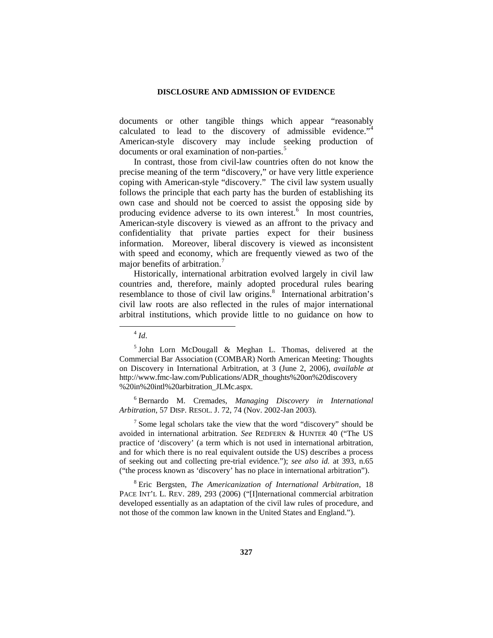documents or other tangible things which appear "reasonably calculated to lead to the discovery of admissible evidence."<sup>[4](#page-2-0)</sup> American-style discovery may include seeking production of documents or oral examination of non-parties.<sup>[5](#page-2-1)</sup>

In contrast, those from civil-law countries often do not know the precise meaning of the term "discovery," or have very little experience coping with American-style "discovery." The civil law system usually follows the principle that each party has the burden of establishing its own case and should not be coerced to assist the opposing side by producing evidence adverse to its own interest.<sup>[6](#page-2-2)</sup> In most countries, American-style discovery is viewed as an affront to the privacy and confidentiality that private parties expect for their business information. Moreover, liberal discovery is viewed as inconsistent with speed and economy, which are frequently viewed as two of the major benefits of arbitration.<sup>[7](#page-2-3)</sup>

Historically, international arbitration evolved largely in civil law countries and, therefore, mainly adopted procedural rules bearing resemblance to those of civil law origins.<sup>[8](#page-2-4)</sup> International arbitration's civil law roots are also reflected in the rules of major international arbitral institutions, which provide little to no guidance on how to

<span id="page-2-2"></span><sup>6</sup> Bernardo M. Cremades, *Managing Discovery in International Arbitration*, 57 DISP. RESOL. J. 72, 74 (Nov. 2002-Jan 2003).

<span id="page-2-3"></span> $<sup>7</sup>$  Some legal scholars take the view that the word "discovery" should be</sup> avoided in international arbitration. *See* REDFERN & HUNTER 40 ("The US practice of 'discovery' (a term which is not used in international arbitration, and for which there is no real equivalent outside the US) describes a process of seeking out and collecting pre-trial evidence."); *see also id.* at 393, n.65 ("the process known as 'discovery' has no place in international arbitration").

<span id="page-2-4"></span><sup>8</sup> Eric Bergsten, *The Americanization of International Arbitration*, 18 PACE INT'L L. REV. 289, 293 (2006) ("[I]nternational commercial arbitration developed essentially as an adaptation of the civil law rules of procedure, and not those of the common law known in the United States and England.").

 $^{4}$  *Id*.

<span id="page-2-1"></span><span id="page-2-0"></span> $5$  John Lorn McDougall & Meghan L. Thomas, delivered at the Commercial Bar Association (COMBAR) North American Meeting: Thoughts on Discovery in International Arbitration, at 3 (June 2, 2006), *available at* http://www.fmc-law.com/Publications/ADR\_thoughts%20on%20discovery %20in%20intl%20arbitration\_JLMc.aspx.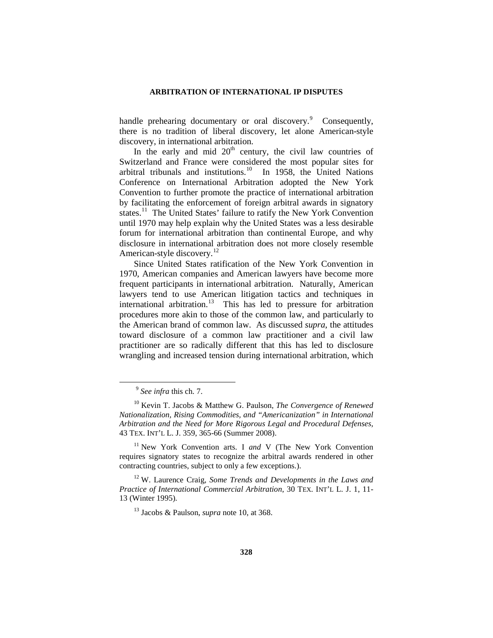handle prehearing documentary or oral discovery.<sup>[9](#page-3-0)</sup> Consequently, there is no tradition of liberal discovery, let alone American-style discovery, in international arbitration.

In the early and mid  $20<sup>th</sup>$  century, the civil law countries of Switzerland and France were considered the most popular sites for arbitral tribunals and institutions.<sup>[10](#page-3-1)</sup> In 1958, the United Nations Conference on International Arbitration adopted the New York Convention to further promote the practice of international arbitration by facilitating the enforcement of foreign arbitral awards in signatory states.<sup>[11](#page-3-2)</sup> The United States' failure to ratify the New York Convention until 1970 may help explain why the United States was a less desirable forum for international arbitration than continental Europe, and why disclosure in international arbitration does not more closely resemble American-style discovery.<sup>[12](#page-3-3)</sup>

Since United States ratification of the New York Convention in 1970, American companies and American lawyers have become more frequent participants in international arbitration. Naturally, American lawyers tend to use American litigation tactics and techniques in international arbitration.<sup>13</sup> This has led to pressure for arbitration procedures more akin to those of the common law, and particularly to the American brand of common law. As discussed *supra*, the attitudes toward disclosure of a common law practitioner and a civil law practitioner are so radically different that this has led to disclosure wrangling and increased tension during international arbitration, which

 <sup>9</sup> *See infra* this ch. 7.

<span id="page-3-1"></span><span id="page-3-0"></span><sup>10</sup> Kevin T. Jacobs & Matthew G. Paulson, *The Convergence of Renewed Nationalization, Rising Commodities, and "Americanization" in International Arbitration and the Need for More Rigorous Legal and Procedural Defenses,* 43 TEX. INT'L L. J. 359, 365-66 (Summer 2008).

<span id="page-3-2"></span><sup>11</sup> New York Convention arts. I *and* V (The New York Convention requires signatory states to recognize the arbitral awards rendered in other contracting countries, subject to only a few exceptions.).

<span id="page-3-4"></span><span id="page-3-3"></span><sup>12</sup> W. Laurence Craig, *Some Trends and Developments in the Laws and Practice of International Commercial Arbitration*, 30 TEX. INT'L L. J. 1, 11- 13 (Winter 1995).

<sup>13</sup> Jacobs & Paulson, *supra* note 10, at 368.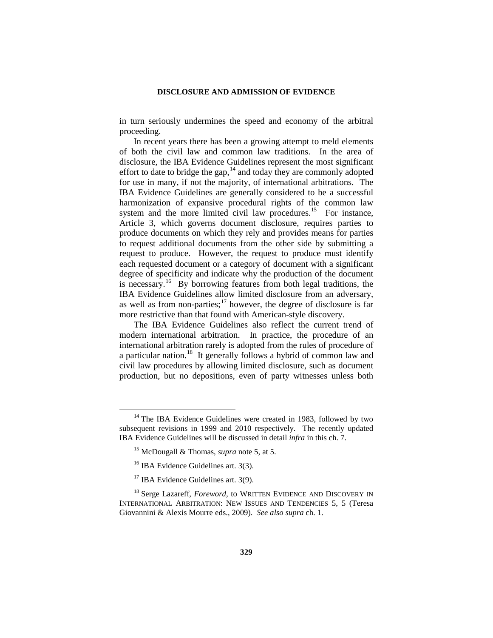in turn seriously undermines the speed and economy of the arbitral proceeding.

In recent years there has been a growing attempt to meld elements of both the civil law and common law traditions. In the area of disclosure, the IBA Evidence Guidelines represent the most significant effort to date to bridge the gap, $14$  and today they are commonly adopted for use in many, if not the majority, of international arbitrations. The IBA Evidence Guidelines are generally considered to be a successful harmonization of expansive procedural rights of the common law system and the more limited civil law procedures.<sup>[15](#page-4-1)</sup> For instance, Article 3, which governs document disclosure, requires parties to produce documents on which they rely and provides means for parties to request additional documents from the other side by submitting a request to produce. However, the request to produce must identify each requested document or a category of document with a significant degree of specificity and indicate why the production of the document is necessary.[16](#page-4-2) By borrowing features from both legal traditions, the IBA Evidence Guidelines allow limited disclosure from an adversary, as well as from non-parties; $\frac{17}{17}$  $\frac{17}{17}$  $\frac{17}{17}$  however, the degree of disclosure is far more restrictive than that found with American-style discovery.

The IBA Evidence Guidelines also reflect the current trend of modern international arbitration. In practice, the procedure of an international arbitration rarely is adopted from the rules of procedure of a particular nation.[18](#page-4-4) It generally follows a hybrid of common law and civil law procedures by allowing limited disclosure, such as document production, but no depositions, even of party witnesses unless both

<span id="page-4-1"></span><span id="page-4-0"></span> $14$  The IBA Evidence Guidelines were created in 1983, followed by two subsequent revisions in 1999 and 2010 respectively. The recently updated IBA Evidence Guidelines will be discussed in detail *infra* in this ch. 7.

<sup>15</sup> McDougall & Thomas, *supra* note 5, at 5.

<sup>&</sup>lt;sup>16</sup> IBA Evidence Guidelines art. 3(3).

<sup>&</sup>lt;sup>17</sup> IBA Evidence Guidelines art. 3(9).

<span id="page-4-4"></span><span id="page-4-3"></span><span id="page-4-2"></span><sup>&</sup>lt;sup>18</sup> Serge Lazareff, *Foreword*, to WRITTEN EVIDENCE AND DISCOVERY IN INTERNATIONAL ARBITRATION: NEW ISSUES AND TENDENCIES 5, 5 (Teresa Giovannini & Alexis Mourre eds., 2009). *See also supra* ch. 1.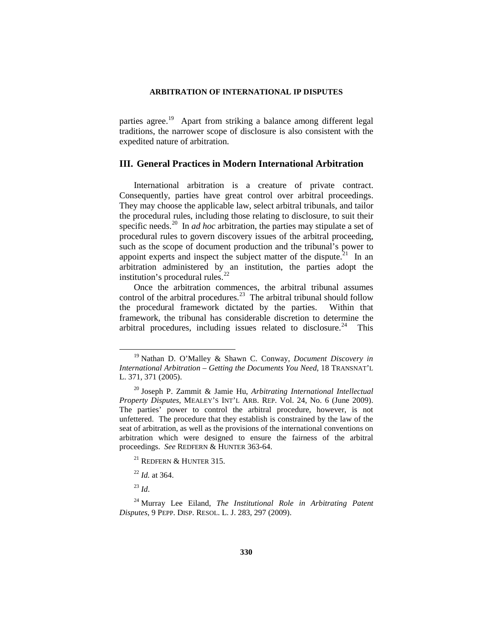parties agree.<sup>[19](#page-5-0)</sup> Apart from striking a balance among different legal traditions, the narrower scope of disclosure is also consistent with the expedited nature of arbitration.

## **III. General Practices in Modern International Arbitration**

International arbitration is a creature of private contract. Consequently, parties have great control over arbitral proceedings. They may choose the applicable law, select arbitral tribunals, and tailor the procedural rules, including those relating to disclosure, to suit their specific needs.<sup>20</sup> In *ad hoc* arbitration, the parties may stipulate a set of procedural rules to govern discovery issues of the arbitral proceeding, such as the scope of document production and the tribunal's power to appoint experts and inspect the subject matter of the dispute.<sup>[21](#page-5-2)</sup> In an arbitration administered by an institution, the parties adopt the institution's procedural rules.<sup>[22](#page-5-3)</sup>

Once the arbitration commences, the arbitral tribunal assumes control of the arbitral procedures.<sup>[23](#page-5-4)</sup> The arbitral tribunal should follow the procedural framework dictated by the parties. Within that framework, the tribunal has considerable discretion to determine the arbitral procedures, including issues related to disclosure.<sup>[24](#page-5-5)</sup> This

<sup>23</sup> *Id*.

<span id="page-5-0"></span> <sup>19</sup> Nathan D. O'Malley & Shawn C. Conway, *Document Discovery in International Arbitration – Getting the Documents You Need*, 18 TRANSNAT'L L. 371, 371 (2005).

<span id="page-5-1"></span><sup>20</sup> Joseph P. Zammit & Jamie Hu, *Arbitrating International Intellectual Property Disputes*, MEALEY'S INT'L ARB. REP. Vol. 24, No. 6 (June 2009). The parties' power to control the arbitral procedure, however, is not unfettered. The procedure that they establish is constrained by the law of the seat of arbitration, as well as the provisions of the international conventions on arbitration which were designed to ensure the fairness of the arbitral proceedings. *See* REDFERN & HUNTER 363-64.

<sup>&</sup>lt;sup>21</sup> REDFERN  $&$  HUNTER 315.

<sup>22</sup> *Id.* at 364.

<span id="page-5-5"></span><span id="page-5-4"></span><span id="page-5-3"></span><span id="page-5-2"></span><sup>24</sup> Murray Lee Eiland, *The Institutional Role in Arbitrating Patent Disputes*, 9 PEPP. DISP. RESOL. L. J. 283, 297 (2009).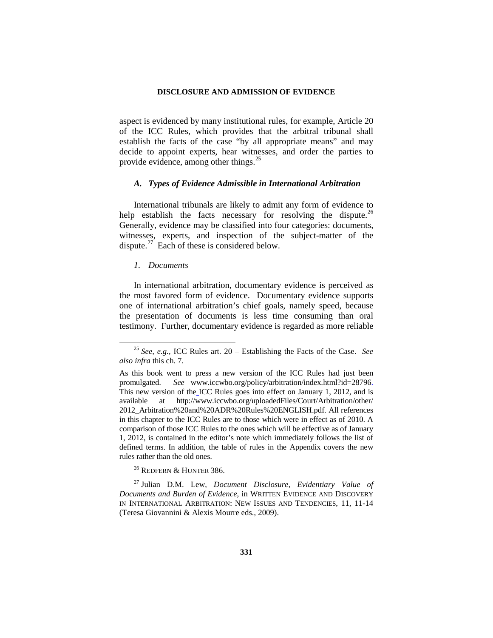aspect is evidenced by many institutional rules, for example, Article 20 of the ICC Rules, which provides that the arbitral tribunal shall establish the facts of the case "by all appropriate means" and may decide to appoint experts, hear witnesses, and order the parties to provide evidence, among other things.<sup>[25](#page-6-0)</sup>

### *A. Types of Evidence Admissible in International Arbitration*

International tribunals are likely to admit any form of evidence to help establish the facts necessary for resolving the dispute.<sup>26</sup> Generally, evidence may be classified into four categories: documents, witnesses, experts, and inspection of the subject-matter of the dispute.<sup>[27](#page-6-2)</sup> Each of these is considered below.

### *1. Documents*

In international arbitration, documentary evidence is perceived as the most favored form of evidence. Documentary evidence supports one of international arbitration's chief goals, namely speed, because the presentation of documents is less time consuming than oral testimony. Further, documentary evidence is regarded as more reliable

<sup>26</sup> REDFERN & HUNTER 386.

<span id="page-6-2"></span><span id="page-6-1"></span><sup>27</sup> Julian D.M. Lew, *Document Disclosure, Evidentiary Value of Documents and Burden of Evidence*, in WRITTEN EVIDENCE AND DISCOVERY IN INTERNATIONAL ARBITRATION: NEW ISSUES AND TENDENCIES, 11, 11-14 (Teresa Giovannini & Alexis Mourre eds., 2009).

<span id="page-6-0"></span> <sup>25</sup> *See, e.g.,* ICC Rules art. 20 – Establishing the Facts of the Case. *See also infra* this ch. 7.

As this book went to press a new version of the ICC Rules had just been promulgated. *See* www.iccwbo.org/policy/arbitration/index.html?id=28796. This new version of the ICC Rules goes into effect on January 1, 2012, and is available at http://www.iccwbo.org/uploadedFiles/Court/Arbitration/other/ 2012\_Arbitration%20and%20ADR%20Rules%20ENGLISH.pdf. All references in this chapter to the ICC Rules are to those which were in effect as of 2010. A comparison of those ICC Rules to the ones which will be effective as of January 1, 2012, is contained in the editor's note which immediately follows the list of defined terms. In addition, the table of rules in the Appendix covers the new rules rather than the old ones.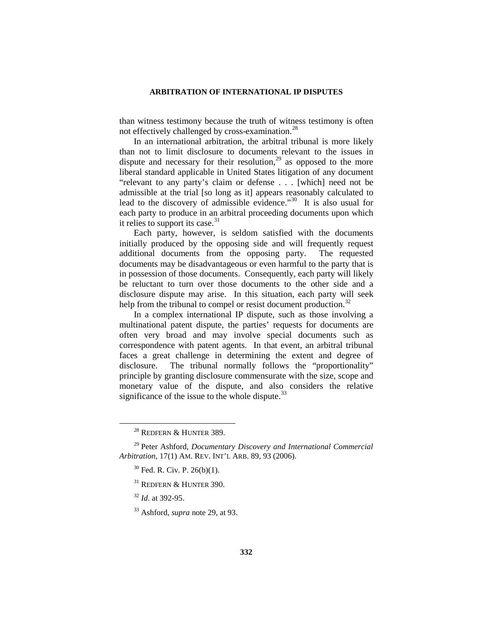than witness testimony because the truth of witness testimony is often not effectively challenged by cross-examination.<sup>[28](#page-7-0)</sup>

In an international arbitration, the arbitral tribunal is more likely than not to limit disclosure to documents relevant to the issues in dispute and necessary for their resolution, $2<sup>9</sup>$  as opposed to the more liberal standard applicable in United States litigation of any document "relevant to any party's claim or defense . . . [which] need not be admissible at the trial [so long as it] appears reasonably calculated to lead to the discovery of admissible evidence."<sup>30</sup> It is also usual for each party to produce in an arbitral proceeding documents upon which it relies to support its case. $31$ 

Each party, however, is seldom satisfied with the documents initially produced by the opposing side and will frequently request additional documents from the opposing party. The requested documents may be disadvantageous or even harmful to the party that is in possession of those documents. Consequently, each party will likely be reluctant to turn over those documents to the other side and a disclosure dispute may arise. In this situation, each party will seek help from the tribunal to compel or resist document production.<sup>[32](#page-7-4)</sup>

In a complex international IP dispute, such as those involving a multinational patent dispute, the parties' requests for documents are often very broad and may involve special documents such as correspondence with patent agents. In that event, an arbitral tribunal faces a great challenge in determining the extent and degree of disclosure. The tribunal normally follows the "proportionality" principle by granting disclosure commensurate with the size, scope and monetary value of the dispute, and also considers the relative significance of the issue to the whole dispute. $33$ 

<sup>&</sup>lt;sup>28</sup> REDFERN & HUNTER 389.

<span id="page-7-4"></span><span id="page-7-3"></span><span id="page-7-2"></span><span id="page-7-1"></span><span id="page-7-0"></span><sup>29</sup> Peter Ashford, *Documentary Discovery and International Commercial Arbitration*, 17(1) AM. REV. INT'L ARB. 89, 93 (2006).

 $30$  Fed. R. Civ. P. 26(b)(1).

<sup>&</sup>lt;sup>31</sup> REDFERN & HUNTER 390.

<sup>32</sup> *Id.* at 392-95.

<span id="page-7-5"></span><sup>33</sup> Ashford, *supra* note 29, at 93.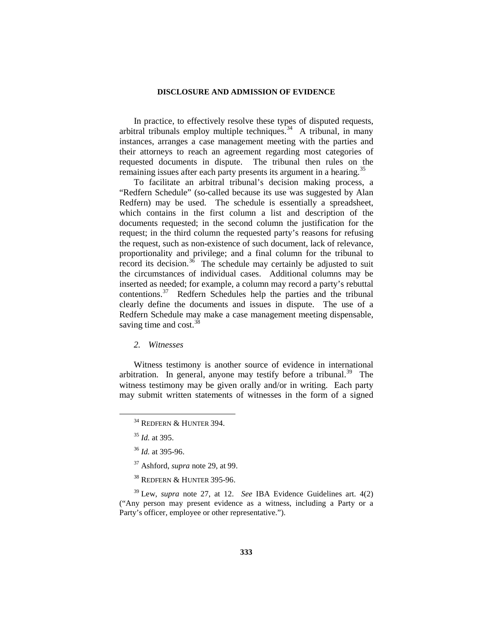In practice, to effectively resolve these types of disputed requests, arbitral tribunals employ multiple techniques.<sup>[34](#page-8-0)</sup> A tribunal, in many instances, arranges a case management meeting with the parties and their attorneys to reach an agreement regarding most categories of requested documents in dispute. The tribunal then rules on the remaining issues after each party presents its argument in a hearing.<sup>[35](#page-8-1)</sup>

To facilitate an arbitral tribunal's decision making process, a "Redfern Schedule" (so-called because its use was suggested by Alan Redfern) may be used. The schedule is essentially a spreadsheet, which contains in the first column a list and description of the documents requested; in the second column the justification for the request; in the third column the requested party's reasons for refusing the request, such as non-existence of such document, lack of relevance, proportionality and privilege; and a final column for the tribunal to record its decision.<sup>36</sup> The schedule may certainly be adjusted to suit the circumstances of individual cases. Additional columns may be inserted as needed; for example, a column may record a party's rebuttal contentions.<sup>[37](#page-8-3)</sup> Redfern Schedules help the parties and the tribunal clearly define the documents and issues in dispute. The use of a Redfern Schedule may make a case management meeting dispensable, saving time and  $cost.^{38}$  $cost.^{38}$  $cost.^{38}$ 

*2. Witnesses*

<span id="page-8-0"></span>Witness testimony is another source of evidence in international arbitration. In general, anyone may testify before a tribunal.<sup>39</sup> The witness testimony may be given orally and/or in writing. Each party may submit written statements of witnesses in the form of a signed

<span id="page-8-5"></span><span id="page-8-4"></span><span id="page-8-3"></span><span id="page-8-2"></span><span id="page-8-1"></span><sup>39</sup> Lew, *supra* note 27, at 12. *See* IBA Evidence Guidelines art. 4(2) ("Any person may present evidence as a witness, including a Party or a Party's officer, employee or other representative.").

<sup>&</sup>lt;sup>34</sup> REDFERN & HUNTER 394.

<sup>35</sup> *Id.* at 395.

<sup>36</sup> *Id.* at 395-96.

<sup>37</sup> Ashford, *supra* note 29, at 99.

<sup>38</sup> REDFERN & HUNTER 395-96.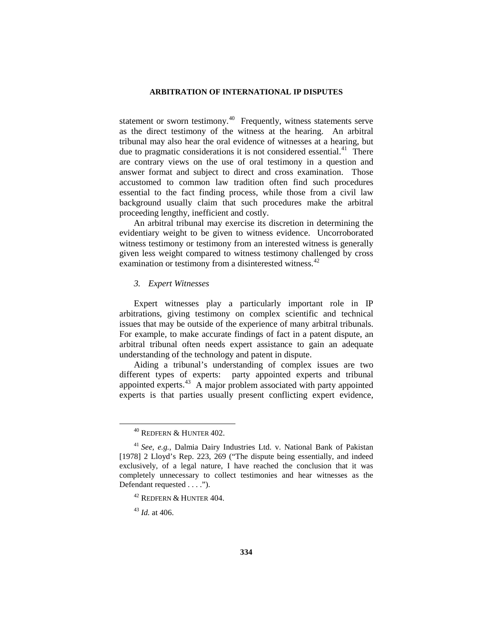statement or sworn testimony.<sup>40</sup> Frequently, witness statements serve as the direct testimony of the witness at the hearing. An arbitral tribunal may also hear the oral evidence of witnesses at a hearing, but due to pragmatic considerations it is not considered essential. $41$  There are contrary views on the use of oral testimony in a question and answer format and subject to direct and cross examination. Those accustomed to common law tradition often find such procedures essential to the fact finding process, while those from a civil law background usually claim that such procedures make the arbitral proceeding lengthy, inefficient and costly.

An arbitral tribunal may exercise its discretion in determining the evidentiary weight to be given to witness evidence. Uncorroborated witness testimony or testimony from an interested witness is generally given less weight compared to witness testimony challenged by cross examination or testimony from a disinterested witness.<sup>[42](#page-9-2)</sup>

## *3. Expert Witnesses*

Expert witnesses play a particularly important role in IP arbitrations, giving testimony on complex scientific and technical issues that may be outside of the experience of many arbitral tribunals. For example, to make accurate findings of fact in a patent dispute, an arbitral tribunal often needs expert assistance to gain an adequate understanding of the technology and patent in dispute.

Aiding a tribunal's understanding of complex issues are two different types of experts: party appointed experts and tribunal appointed experts.[43](#page-9-3) A major problem associated with party appointed experts is that parties usually present conflicting expert evidence,

 $40$  REDFERN  $&$  HUNTER 402.

<span id="page-9-2"></span><span id="page-9-1"></span><span id="page-9-0"></span><sup>41</sup> *See, e.g.,* Dalmia Dairy Industries Ltd. v. National Bank of Pakistan [1978] 2 Lloyd's Rep. 223, 269 ("The dispute being essentially, and indeed exclusively, of a legal nature, I have reached the conclusion that it was completely unnecessary to collect testimonies and hear witnesses as the Defendant requested . . . .").

<sup>42</sup> REDFERN & HUNTER 404.

<span id="page-9-3"></span><sup>43</sup> *Id.* at 406.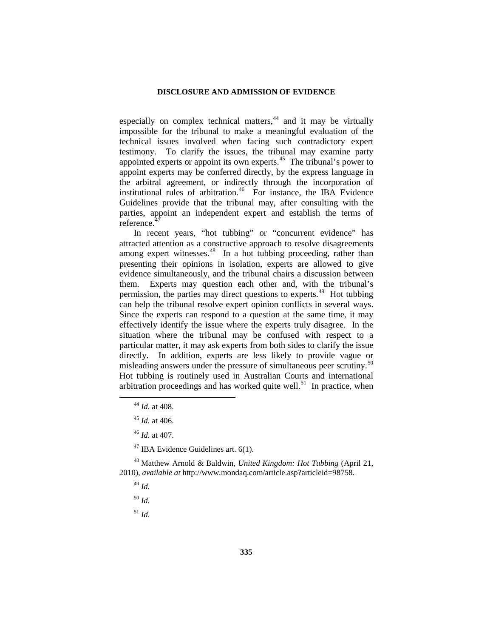especially on complex technical matters, $44$  and it may be virtually impossible for the tribunal to make a meaningful evaluation of the technical issues involved when facing such contradictory expert testimony. To clarify the issues, the tribunal may examine party appointed experts or appoint its own experts. $45$  The tribunal's power to appoint experts may be conferred directly, by the express language in the arbitral agreement, or indirectly through the incorporation of institutional rules of arbitration.<sup>46</sup> For instance, the IBA Evidence Guidelines provide that the tribunal may, after consulting with the parties, appoint an independent expert and establish the terms of reference.

In recent years, "hot tubbing" or "concurrent evidence" has attracted attention as a constructive approach to resolve disagreements among expert witnesses. $48$  In a hot tubbing proceeding, rather than presenting their opinions in isolation, experts are allowed to give evidence simultaneously, and the tribunal chairs a discussion between them. Experts may question each other and, with the tribunal's permission, the parties may direct questions to experts.<sup>49</sup> Hot tubbing can help the tribunal resolve expert opinion conflicts in several ways. Since the experts can respond to a question at the same time, it may effectively identify the issue where the experts truly disagree. In the situation where the tribunal may be confused with respect to a particular matter, it may ask experts from both sides to clarify the issue directly. In addition, experts are less likely to provide vague or misleading answers under the pressure of simultaneous peer scrutiny.<sup>50</sup> Hot tubbing is routinely used in Australian Courts and international arbitration proceedings and has worked quite well.<sup>51</sup> In practice, when

 $47$  IBA Evidence Guidelines art. 6(1).

<span id="page-10-7"></span><span id="page-10-6"></span><span id="page-10-5"></span><span id="page-10-4"></span><span id="page-10-3"></span><span id="page-10-2"></span><span id="page-10-1"></span><span id="page-10-0"></span><sup>48</sup> Matthew Arnold & Baldwin, *United Kingdom: Hot Tubbing* (April 21, 2010), *available at* http://www.mondaq.com/article.asp?articleid=98758.

- <sup>49</sup> *Id.*
- <sup>50</sup> *Id.*
- <sup>51</sup> *Id.*

 <sup>44</sup> *Id.* at 408.

<sup>45</sup> *Id.* at 406.

<sup>46</sup> *Id.* at 407.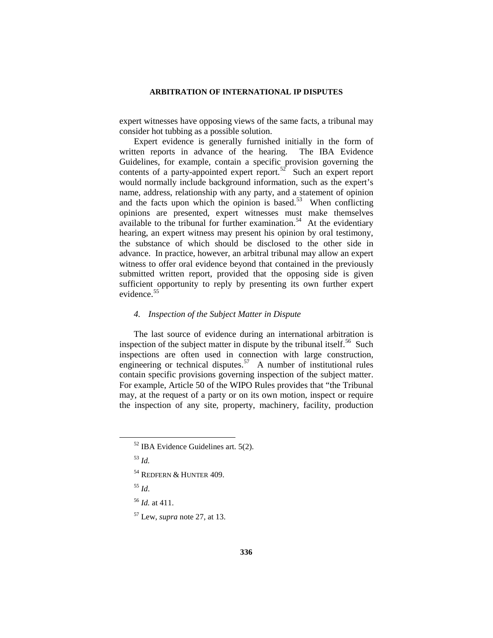expert witnesses have opposing views of the same facts, a tribunal may consider hot tubbing as a possible solution.

Expert evidence is generally furnished initially in the form of written reports in advance of the hearing. The IBA Evidence Guidelines, for example, contain a specific provision governing the contents of a party-appointed expert report.<sup>[52](#page-11-0)</sup> Such an expert report would normally include background information, such as the expert's name, address, relationship with any party, and a statement of opinion and the facts upon which the opinion is based.<sup>[53](#page-11-1)</sup> When conflicting opinions are presented, expert witnesses must make themselves available to the tribunal for further examination.<sup>54</sup> At the evidentiary hearing, an expert witness may present his opinion by oral testimony, the substance of which should be disclosed to the other side in advance. In practice, however, an arbitral tribunal may allow an expert witness to offer oral evidence beyond that contained in the previously submitted written report, provided that the opposing side is given sufficient opportunity to reply by presenting its own further expert evidence.<sup>[55](#page-11-3)</sup>

### *4. Inspection of the Subject Matter in Dispute*

The last source of evidence during an international arbitration is inspection of the subject matter in dispute by the tribunal itself.<sup>56</sup> Such inspections are often used in connection with large construction, engineering or technical disputes.<sup>57</sup> A number of institutional rules contain specific provisions governing inspection of the subject matter. For example, Article 50 of the WIPO Rules provides that "the Tribunal may, at the request of a party or on its own motion, inspect or require the inspection of any site, property, machinery, facility, production

<span id="page-11-3"></span><span id="page-11-2"></span><sup>55</sup> *Id*.

<span id="page-11-0"></span> $52$  IBA Evidence Guidelines art. 5(2).

<span id="page-11-1"></span><sup>53</sup> *Id.*

<sup>54</sup> REDFERN & HUNTER 409.

<span id="page-11-4"></span><sup>56</sup> *Id.* at 411.

<span id="page-11-5"></span><sup>57</sup> Lew, *supra* note 27, at 13.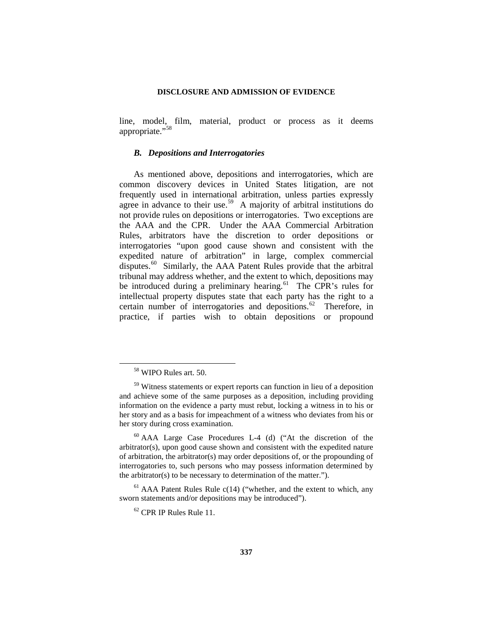line, model, film, material, product or process as it deems appropriate."<sup>[58](#page-12-0)</sup>

### *B. Depositions and Interrogatories*

As mentioned above, depositions and interrogatories, which are common discovery devices in United States litigation, are not frequently used in international arbitration, unless parties expressly agree in advance to their use.<sup>[59](#page-12-1)</sup> A majority of arbitral institutions do not provide rules on depositions or interrogatories. Two exceptions are the AAA and the CPR. Under the AAA Commercial Arbitration Rules, arbitrators have the discretion to order depositions or interrogatories "upon good cause shown and consistent with the expedited nature of arbitration" in large, complex commercial disputes.<sup>60</sup> Similarly, the AAA Patent Rules provide that the arbitral tribunal may address whether, and the extent to which, depositions may be introduced during a preliminary hearing.<sup>61</sup> The CPR's rules for intellectual property disputes state that each party has the right to a certain number of interrogatories and depositions.<sup>[62](#page-12-4)</sup> Therefore, in practice, if parties wish to obtain depositions or propound

 <sup>58</sup> WIPO Rules art. 50.

<span id="page-12-1"></span><span id="page-12-0"></span><sup>&</sup>lt;sup>59</sup> Witness statements or expert reports can function in lieu of a deposition and achieve some of the same purposes as a deposition, including providing information on the evidence a party must rebut, locking a witness in to his or her story and as a basis for impeachment of a witness who deviates from his or her story during cross examination.

<span id="page-12-2"></span> $60$  AAA Large Case Procedures L-4 (d) ("At the discretion of the arbitrator(s), upon good cause shown and consistent with the expedited nature of arbitration, the arbitrator(s) may order depositions of, or the propounding of interrogatories to, such persons who may possess information determined by the arbitrator(s) to be necessary to determination of the matter.").

<span id="page-12-4"></span><span id="page-12-3"></span> $<sup>61</sup>$  AAA Patent Rules Rule c(14) ("whether, and the extent to which, any</sup> sworn statements and/or depositions may be introduced").

 $62$  CPR IP Rules Rule 11.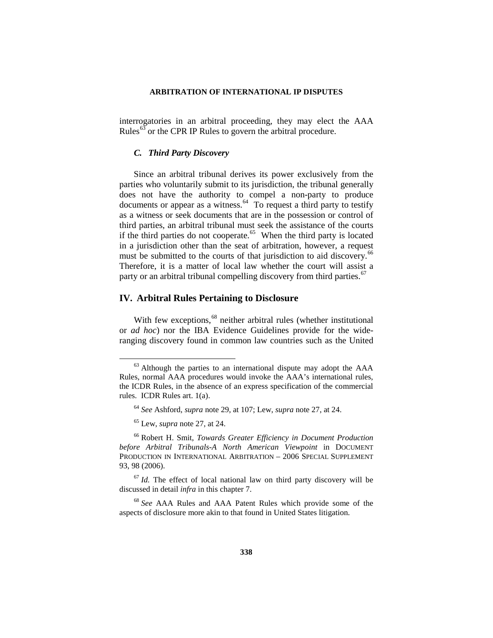interrogatories in an arbitral proceeding, they may elect the AAA Rules $^{63}$  $^{63}$  $^{63}$  or the CPR IP Rules to govern the arbitral procedure.

### *C. Third Party Discovery*

Since an arbitral tribunal derives its power exclusively from the parties who voluntarily submit to its jurisdiction, the tribunal generally does not have the authority to compel a non-party to produce documents or appear as a witness.<sup>64</sup> To request a third party to testify as a witness or seek documents that are in the possession or control of third parties, an arbitral tribunal must seek the assistance of the courts if the third parties do not cooperate.<sup> $65$ </sup> When the third party is located in a jurisdiction other than the seat of arbitration, however, a request must be submitted to the courts of that jurisdiction to aid discovery.<sup>66</sup> Therefore, it is a matter of local law whether the court will assist a party or an arbitral tribunal compelling discovery from third parties.<sup>[67](#page-13-4)</sup>

## **IV. Arbitral Rules Pertaining to Disclosure**

With few exceptions,<sup>[68](#page-13-5)</sup> neither arbitral rules (whether institutional or *ad hoc*) nor the IBA Evidence Guidelines provide for the wideranging discovery found in common law countries such as the United

<span id="page-13-0"></span> $63$  Although the parties to an international dispute may adopt the  $AAA$ Rules, normal AAA procedures would invoke the AAA's international rules, the ICDR Rules, in the absence of an express specification of the commercial rules. ICDR Rules art. 1(a).

<sup>64</sup> *See* Ashford, *supra* note 29, at 107; Lew, *supra* note 27, at 24.

<sup>65</sup> Lew, *supra* note 27, at 24.

<span id="page-13-3"></span><span id="page-13-2"></span><span id="page-13-1"></span><sup>66</sup> Robert H. Smit, *Towards Greater Efficiency in Document Production before Arbitral Tribunals-A North American Viewpoint* in DOCUMENT PRODUCTION IN INTERNATIONAL ARBITRATION – 2006 SPECIAL SUPPLEMENT 93, 98 (2006).

<span id="page-13-4"></span> $67$  *Id.* The effect of local national law on third party discovery will be discussed in detail *infra* in this chapter 7.

<span id="page-13-5"></span><sup>68</sup> *See* AAA Rules and AAA Patent Rules which provide some of the aspects of disclosure more akin to that found in United States litigation.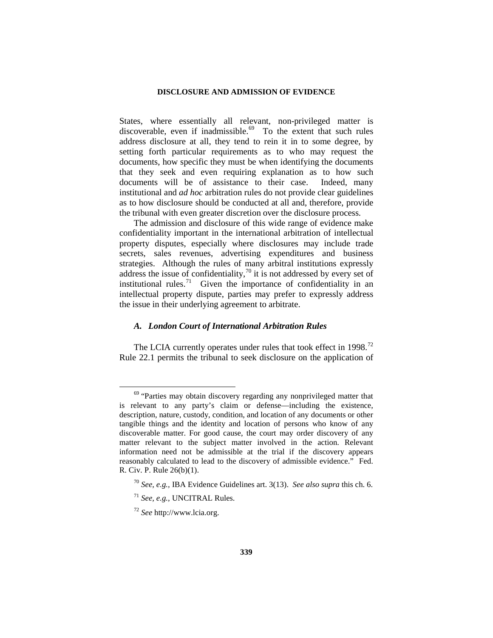States, where essentially all relevant, non-privileged matter is discoverable, even if inadmissible.<sup>69</sup> To the extent that such rules address disclosure at all, they tend to rein it in to some degree, by setting forth particular requirements as to who may request the documents, how specific they must be when identifying the documents that they seek and even requiring explanation as to how such documents will be of assistance to their case. Indeed, many institutional and *ad hoc* arbitration rules do not provide clear guidelines as to how disclosure should be conducted at all and, therefore, provide the tribunal with even greater discretion over the disclosure process.

The admission and disclosure of this wide range of evidence make confidentiality important in the international arbitration of intellectual property disputes, especially where disclosures may include trade secrets, sales revenues, advertising expenditures and business strategies. Although the rules of many arbitral institutions expressly address the issue of confidentiality,  $\frac{70}{11}$  $\frac{70}{11}$  $\frac{70}{11}$  it is not addressed by every set of institutional rules.<sup>71</sup> Given the importance of confidentiality in an intellectual property dispute, parties may prefer to expressly address the issue in their underlying agreement to arbitrate.

## *A. London Court of International Arbitration Rules*

The LCIA currently operates under rules that took effect in 1998.<sup>72</sup> Rule 22.1 permits the tribunal to seek disclosure on the application of

<span id="page-14-0"></span><sup>&</sup>lt;sup>69</sup> "Parties may obtain discovery regarding any nonprivileged matter that is relevant to any party's claim or defense—including the existence, description, nature, custody, condition, and location of any documents or other tangible things and the identity and location of persons who know of any discoverable matter. For good cause, the court may order discovery of any matter relevant to the subject matter involved in the action. Relevant information need not be admissible at the trial if the discovery appears reasonably calculated to lead to the discovery of admissible evidence." Fed. R. Civ. P. Rule 26(b)(1).

<span id="page-14-1"></span><sup>70</sup> *See, e.g.,* IBA Evidence Guidelines art. 3(13). *See also supra* this ch. 6.

<span id="page-14-2"></span><sup>71</sup> *See, e.g.,* UNCITRAL Rules.

<span id="page-14-3"></span><sup>72</sup> *See* http://www.lcia.org.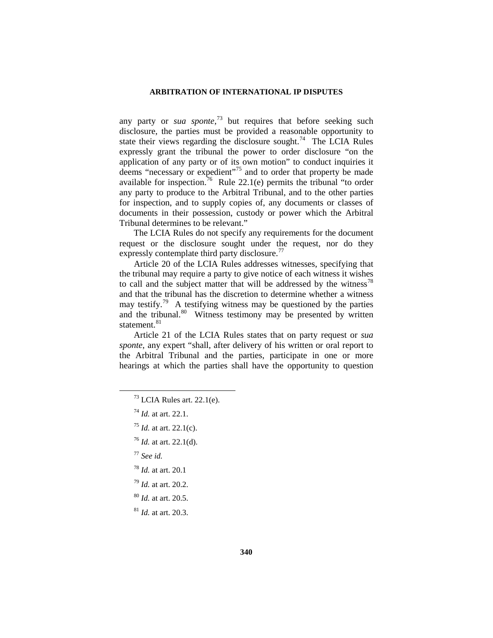any party or *sua sponte*, [73](#page-15-0) but requires that before seeking such disclosure, the parties must be provided a reasonable opportunity to state their views regarding the disclosure sought.<sup>[74](#page-15-1)</sup> The LCIA Rules expressly grant the tribunal the power to order disclosure "on the application of any party or of its own motion" to conduct inquiries it deems "necessary or expedient"<sup>[75](#page-15-2)</sup> and to order that property be made available for inspection.<sup>76</sup> Rule 22.1(e) permits the tribunal "to order any party to produce to the Arbitral Tribunal, and to the other parties for inspection, and to supply copies of, any documents or classes of documents in their possession, custody or power which the Arbitral Tribunal determines to be relevant."

The LCIA Rules do not specify any requirements for the document request or the disclosure sought under the request, nor do they expressly contemplate third party disclosure.<sup>[77](#page-15-4)</sup>

Article 20 of the LCIA Rules addresses witnesses, specifying that the tribunal may require a party to give notice of each witness it wishes to call and the subject matter that will be addressed by the witness $^{78}$  $^{78}$  $^{78}$ and that the tribunal has the discretion to determine whether a witness may testify.<sup>[79](#page-15-6)</sup> A testifying witness may be questioned by the parties and the tribunal. $80$  Witness testimony may be presented by written statement.<sup>[81](#page-15-8)</sup>

Article 21 of the LCIA Rules states that on party request or *sua sponte*, any expert "shall, after delivery of his written or oral report to the Arbitral Tribunal and the parties, participate in one or more hearings at which the parties shall have the opportunity to question

<span id="page-15-3"></span><sup>76</sup> *Id.* at art. 22.1(d).

- <span id="page-15-4"></span><sup>77</sup> *See id.*
- <sup>78</sup> *Id.* at art. 20.1
- <span id="page-15-6"></span><span id="page-15-5"></span><sup>79</sup> *Id.* at art. 20.2.
- <span id="page-15-7"></span><sup>80</sup> *Id.* at art. 20.5.

<span id="page-15-8"></span><sup>81</sup> *Id.* at art. 20.3.

 $73$  LCIA Rules art. 22.1(e).

<span id="page-15-1"></span><span id="page-15-0"></span><sup>74</sup> *Id.* at art. 22.1.

<span id="page-15-2"></span><sup>75</sup> *Id.* at art. 22.1(c).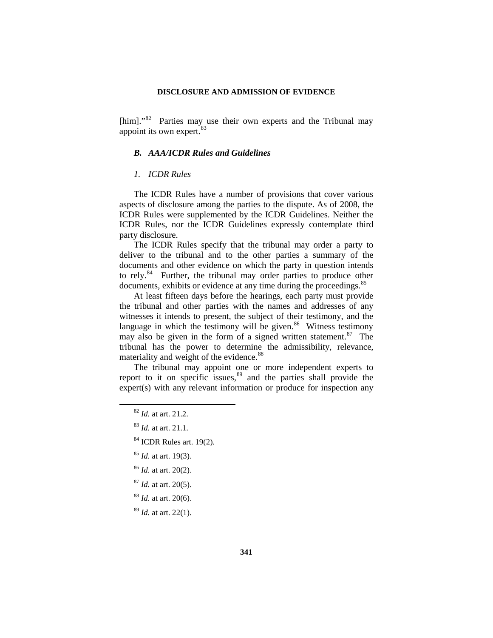[him]."<sup>82</sup> Parties may use their own experts and the Tribunal may appoint its own expert.<sup>[83](#page-16-1)</sup>

## *B. AAA/ICDR Rules and Guidelines*

### *1. ICDR Rules*

The ICDR Rules have a number of provisions that cover various aspects of disclosure among the parties to the dispute. As of 2008, the ICDR Rules were supplemented by the ICDR Guidelines. Neither the ICDR Rules, nor the ICDR Guidelines expressly contemplate third party disclosure.

The ICDR Rules specify that the tribunal may order a party to deliver to the tribunal and to the other parties a summary of the documents and other evidence on which the party in question intends to rely.<sup>[84](#page-16-2)</sup> Further, the tribunal may order parties to produce other documents, exhibits or evidence at any time during the proceedings.<sup>[85](#page-16-3)</sup>

At least fifteen days before the hearings, each party must provide the tribunal and other parties with the names and addresses of any witnesses it intends to present, the subject of their testimony, and the language in which the testimony will be given.<sup>[86](#page-16-4)</sup> Witness testimony may also be given in the form of a signed written statement.<sup>87</sup> The tribunal has the power to determine the admissibility, relevance, materiality and weight of the evidence.<sup>[88](#page-16-6)</sup>

<span id="page-16-1"></span><span id="page-16-0"></span>The tribunal may appoint one or more independent experts to report to it on specific issues,<sup>[89](#page-16-7)</sup> and the parties shall provide the expert(s) with any relevant information or produce for inspection any

- <span id="page-16-2"></span><sup>84</sup> ICDR Rules art. 19(2).
- <sup>85</sup> *Id.* at art. 19(3).
- <span id="page-16-4"></span><span id="page-16-3"></span><sup>86</sup> *Id.* at art. 20(2).
- <span id="page-16-5"></span><sup>87</sup> *Id.* at art. 20(5).
- <span id="page-16-6"></span><sup>88</sup> *Id.* at art. 20(6).

<span id="page-16-7"></span><sup>89</sup> *Id.* at art. 22(1).

 <sup>82</sup> *Id.* at art. 21.2.

<sup>83</sup> *Id.* at art. 21.1.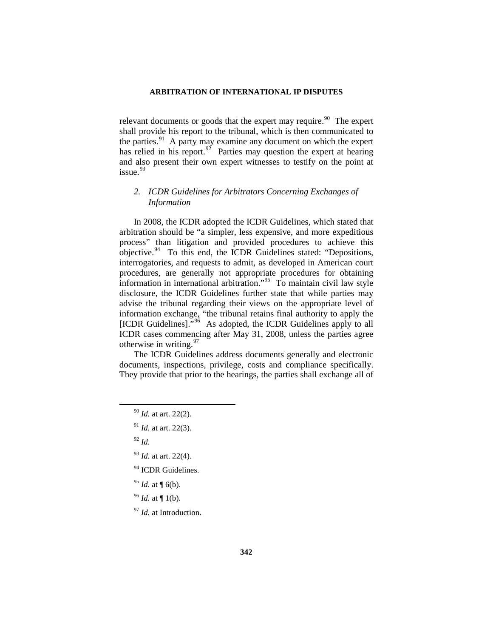relevant documents or goods that the expert may require. <sup>90</sup> The expert shall provide his report to the tribunal, which is then communicated to the parties.<sup>[91](#page-17-1)</sup> A party may examine any document on which the expert has relied in his report.<sup>92</sup> Parties may question the expert at hearing and also present their own expert witnesses to testify on the point at  $i$ ssue.  $93$ 

## *2. ICDR Guidelines for Arbitrators Concerning Exchanges of Information*

In 2008, the ICDR adopted the ICDR Guidelines, which stated that arbitration should be "a simpler, less expensive, and more expeditious process" than litigation and provided procedures to achieve this objective.<sup>94</sup> To this end, the ICDR Guidelines stated: "Depositions, interrogatories, and requests to admit, as developed in American court procedures, are generally not appropriate procedures for obtaining information in international arbitration."[95](#page-17-5) To maintain civil law style disclosure, the ICDR Guidelines further state that while parties may advise the tribunal regarding their views on the appropriate level of information exchange, "the tribunal retains final authority to apply the [ICDR Guidelines]."<sup>96</sup> As adopted, the ICDR Guidelines apply to all ICDR cases commencing after May 31, 2008, unless the parties agree otherwise in writing. $97$ 

<span id="page-17-0"></span>The ICDR Guidelines address documents generally and electronic documents, inspections, privilege, costs and compliance specifically. They provide that prior to the hearings, the parties shall exchange all of

- <span id="page-17-1"></span><sup>91</sup> *Id.* at art. 22(3).
- <span id="page-17-2"></span><sup>92</sup> *Id.*
- <span id="page-17-3"></span><sup>93</sup> *Id.* at art. 22(4).
- <span id="page-17-4"></span><sup>94</sup> ICDR Guidelines.
- <span id="page-17-5"></span><sup>95</sup> *Id.* at ¶ 6(b).
- <span id="page-17-6"></span><sup>96</sup> *Id.* at ¶ 1(b).
- <span id="page-17-7"></span><sup>97</sup> *Id.* at Introduction.

 <sup>90</sup> *Id.* at art. 22(2).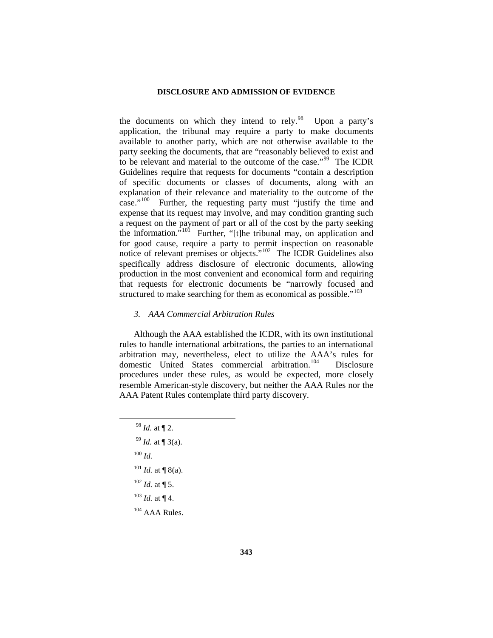the documents on which they intend to rely.<sup>98</sup> Upon a party's application, the tribunal may require a party to make documents available to another party, which are not otherwise available to the party seeking the documents, that are "reasonably believed to exist and to be relevant and material to the outcome of the case."[99](#page-18-1) The ICDR Guidelines require that requests for documents "contain a description of specific documents or classes of documents, along with an explanation of their relevance and materiality to the outcome of the case."[100](#page-18-2) Further, the requesting party must "justify the time and expense that its request may involve, and may condition granting such a request on the payment of part or all of the cost by the party seeking the information.<sup> $5101$ </sup> Further, "[t]he tribunal may, on application and for good cause, require a party to permit inspection on reasonable notice of relevant premises or objects."[102](#page-18-4) The ICDR Guidelines also specifically address disclosure of electronic documents, allowing production in the most convenient and economical form and requiring that requests for electronic documents be "narrowly focused and structured to make searching for them as economical as possible."<sup>[103](#page-18-5)</sup>

## *3. AAA Commercial Arbitration Rules*

Although the AAA established the ICDR, with its own institutional rules to handle international arbitrations, the parties to an international arbitration may, nevertheless, elect to utilize the AAA's rules for domestic United States commercial arbitration.<sup>[104](#page-18-6)</sup> Disclosure procedures under these rules, as would be expected, more closely resemble American-style discovery, but neither the AAA Rules nor the AAA Patent Rules contemplate third party discovery.

<span id="page-18-6"></span><span id="page-18-5"></span><span id="page-18-4"></span><span id="page-18-3"></span><span id="page-18-2"></span><span id="page-18-1"></span><span id="page-18-0"></span> *Id.* at ¶ 2. *Id.* at ¶ 3(a). <sup>100</sup> *Id. Id.* at ¶ 8(a). *Id.* at ¶ 5.  $^{103}$  *Id.* at ¶ 4. AAA Rules.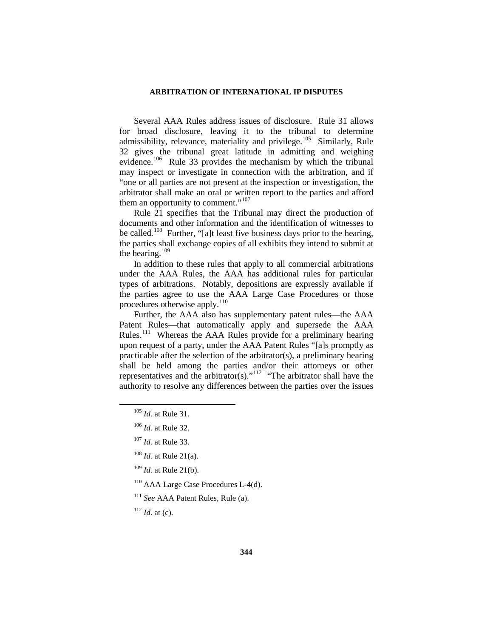Several AAA Rules address issues of disclosure. Rule 31 allows for broad disclosure, leaving it to the tribunal to determine admissibility, relevance, materiality and privilege.<sup>[105](#page-19-0)</sup> Similarly, Rule 32 gives the tribunal great latitude in admitting and weighing evidence.<sup>[106](#page-19-1)</sup> Rule 33 provides the mechanism by which the tribunal may inspect or investigate in connection with the arbitration, and if "one or all parties are not present at the inspection or investigation, the arbitrator shall make an oral or written report to the parties and afford them an opportunity to comment."<sup>[107](#page-19-2)</sup>

Rule 21 specifies that the Tribunal may direct the production of documents and other information and the identification of witnesses to be called.<sup>108</sup> Further, "[a]t least five business days prior to the hearing, the parties shall exchange copies of all exhibits they intend to submit at the hearing. $109$ 

In addition to these rules that apply to all commercial arbitrations under the AAA Rules, the AAA has additional rules for particular types of arbitrations. Notably, depositions are expressly available if the parties agree to use the AAA Large Case Procedures or those procedures otherwise apply.<sup>[110](#page-19-5)</sup>

Further, the AAA also has supplementary patent rules—the AAA Patent Rules—that automatically apply and supersede the AAA Rules.[111](#page-19-6) Whereas the AAA Rules provide for a preliminary hearing upon request of a party, under the AAA Patent Rules "[a]s promptly as practicable after the selection of the arbitrator(s), a preliminary hearing shall be held among the parties and/or their attorneys or other representatives and the arbitrator(s)."[112](#page-19-7) "The arbitrator shall have the authority to resolve any differences between the parties over the issues

<span id="page-19-0"></span> <sup>105</sup> *Id.* at Rule 31.

<span id="page-19-1"></span><sup>106</sup> *Id.* at Rule 32.

<span id="page-19-2"></span><sup>107</sup> *Id.* at Rule 33.

<span id="page-19-3"></span><sup>108</sup> *Id.* at Rule 21(a).

<span id="page-19-4"></span><sup>109</sup> *Id.* at Rule 21(b).

<span id="page-19-5"></span><sup>110</sup> AAA Large Case Procedures L-4(d).

<span id="page-19-6"></span><sup>111</sup> *See* AAA Patent Rules, Rule (a).

<span id="page-19-7"></span> $112$  *Id.* at (c).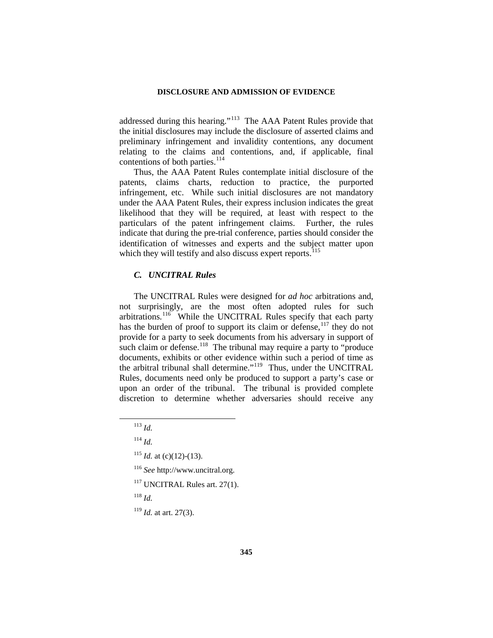addressed during this hearing."<sup>113</sup> The AAA Patent Rules provide that the initial disclosures may include the disclosure of asserted claims and preliminary infringement and invalidity contentions, any document relating to the claims and contentions, and, if applicable, final contentions of both parties.<sup>[114](#page-20-1)</sup>

Thus, the AAA Patent Rules contemplate initial disclosure of the patents, claims charts, reduction to practice, the purported infringement, etc. While such initial disclosures are not mandatory under the AAA Patent Rules, their express inclusion indicates the great likelihood that they will be required, at least with respect to the particulars of the patent infringement claims. Further, the rules indicate that during the pre-trial conference, parties should consider the identification of witnesses and experts and the subject matter upon which they will testify and also discuss expert reports. $115$ 

## *C. UNCITRAL Rules*

The UNCITRAL Rules were designed for *ad hoc* arbitrations and, not surprisingly, are the most often adopted rules for such arbitrations.<sup>[116](#page-20-3)</sup> While the UNCITRAL Rules specify that each party has the burden of proof to support its claim or defense,<sup>[117](#page-20-4)</sup> they do not provide for a party to seek documents from his adversary in support of such claim or defense.<sup>[118](#page-20-5)</sup> The tribunal may require a party to "produce" documents, exhibits or other evidence within such a period of time as the arbitral tribunal shall determine."<sup>[119](#page-20-6)</sup> Thus, under the UNCITRAL Rules, documents need only be produced to support a party's case or upon an order of the tribunal. The tribunal is provided complete discretion to determine whether adversaries should receive any

<sup>117</sup> UNCITRAL Rules art. 27(1).

<span id="page-20-5"></span><span id="page-20-4"></span><sup>118</sup> *Id.*

<span id="page-20-6"></span><sup>119</sup> *Id.* at art. 27(3).

 <sup>113</sup> *Id.*

<span id="page-20-3"></span><span id="page-20-2"></span><span id="page-20-1"></span><span id="page-20-0"></span><sup>114</sup> *Id.*

 $115$  *Id.* at (c)(12)-(13).

<sup>116</sup> *See* http://www.uncitral.org.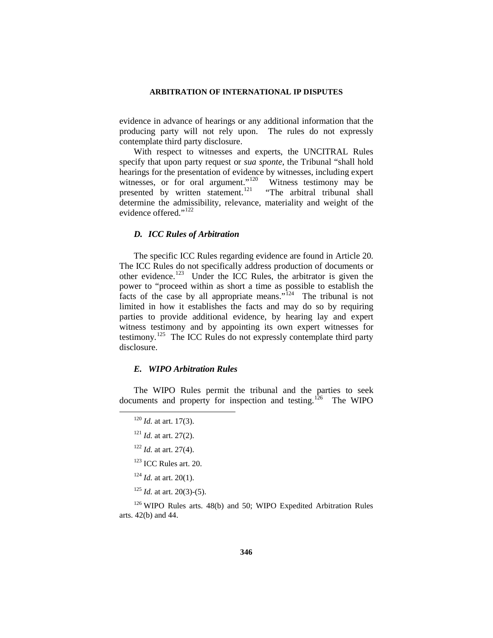evidence in advance of hearings or any additional information that the producing party will not rely upon. The rules do not expressly contemplate third party disclosure.

With respect to witnesses and experts, the UNCITRAL Rules specify that upon party request or *sua sponte*, the Tribunal "shall hold hearings for the presentation of evidence by witnesses, including expert witnesses, or for oral argument."<sup>120</sup> Witness testimony may be presented by written statement.<sup>[121](#page-21-1)</sup> "The arbitral tribunal shall determine the admissibility, relevance, materiality and weight of the evidence offered."<sup>[122](#page-21-2)</sup>

### *D. ICC Rules of Arbitration*

The specific ICC Rules regarding evidence are found in Article 20. The ICC Rules do not specifically address production of documents or other evidence.[123](#page-21-3) Under the ICC Rules, the arbitrator is given the power to "proceed within as short a time as possible to establish the facts of the case by all appropriate means."<sup>[124](#page-21-4)</sup> The tribunal is not limited in how it establishes the facts and may do so by requiring parties to provide additional evidence, by hearing lay and expert witness testimony and by appointing its own expert witnesses for testimony.[125](#page-21-5) The ICC Rules do not expressly contemplate third party disclosure.

### *E. WIPO Arbitration Rules*

<span id="page-21-1"></span><span id="page-21-0"></span>The WIPO Rules permit the tribunal and the parties to seek documents and property for inspection and testing.<sup>[126](#page-21-6)</sup> The WIPO

- $123$  ICC Rules art. 20.
- <sup>124</sup> *Id.* at art. 20(1).
- <sup>125</sup> *Id.* at art. 20(3)-(5).

<span id="page-21-6"></span><span id="page-21-5"></span><span id="page-21-4"></span><span id="page-21-3"></span><span id="page-21-2"></span><sup>126</sup> WIPO Rules arts. 48(b) and 50; WIPO Expedited Arbitration Rules arts. 42(b) and 44.

 <sup>120</sup> *Id.* at art. 17(3).

<sup>121</sup> *Id.* at art. 27(2).

<sup>122</sup> *Id.* at art. 27(4).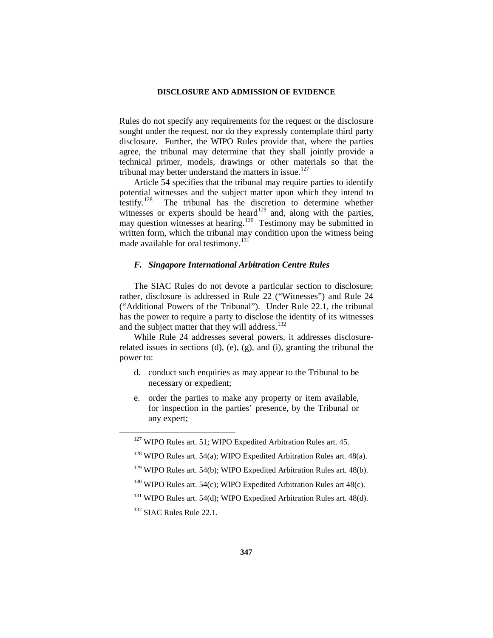Rules do not specify any requirements for the request or the disclosure sought under the request, nor do they expressly contemplate third party disclosure. Further, the WIPO Rules provide that, where the parties agree, the tribunal may determine that they shall jointly provide a technical primer, models, drawings or other materials so that the tribunal may better understand the matters in issue.<sup>[127](#page-22-0)</sup>

Article 54 specifies that the tribunal may require parties to identify potential witnesses and the subject matter upon which they intend to testify.<sup>[128](#page-22-1)</sup> The tribunal has the discretion to determine whether witnesses or experts should be heard<sup>[129](#page-22-2)</sup> and, along with the parties, may question witnesses at hearing.<sup>130</sup> Testimony may be submitted in written form, which the tribunal may condition upon the witness being made available for oral testimony.<sup>[131](#page-22-4)</sup>

### *F. Singapore International Arbitration Centre Rules*

The SIAC Rules do not devote a particular section to disclosure; rather, disclosure is addressed in Rule 22 ("Witnesses") and Rule 24 ("Additional Powers of the Tribunal"). Under Rule 22.1, the tribunal has the power to require a party to disclose the identity of its witnesses and the subject matter that they will address.<sup>[132](#page-22-5)</sup>

While Rule 24 addresses several powers, it addresses disclosurerelated issues in sections (d), (e), (g), and (i), granting the tribunal the power to:

- d. conduct such enquiries as may appear to the Tribunal to be necessary or expedient;
- e. order the parties to make any property or item available, for inspection in the parties' presence, by the Tribunal or any expert;

<span id="page-22-0"></span><sup>&</sup>lt;sup>127</sup> WIPO Rules art. 51; WIPO Expedited Arbitration Rules art. 45.

<span id="page-22-1"></span> $128$  WIPO Rules art. 54(a); WIPO Expedited Arbitration Rules art. 48(a).

<span id="page-22-2"></span><sup>&</sup>lt;sup>129</sup> WIPO Rules art. 54(b); WIPO Expedited Arbitration Rules art. 48(b).

<span id="page-22-3"></span> $130$  WIPO Rules art. 54(c); WIPO Expedited Arbitration Rules art 48(c).

<span id="page-22-4"></span><sup>&</sup>lt;sup>131</sup> WIPO Rules art. 54(d); WIPO Expedited Arbitration Rules art. 48(d).

<span id="page-22-5"></span><sup>&</sup>lt;sup>132</sup> SIAC Rules Rule 22.1.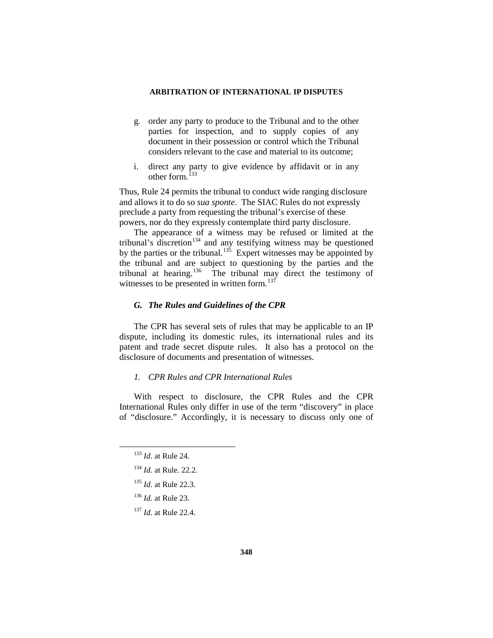- g. order any party to produce to the Tribunal and to the other parties for inspection, and to supply copies of any document in their possession or control which the Tribunal considers relevant to the case and material to its outcome;
- i. direct any party to give evidence by affidavit or in any other form.<sup>[133](#page-23-0)</sup>

Thus, Rule 24 permits the tribunal to conduct wide ranging disclosure and allows it to do so *sua sponte*. The SIAC Rules do not expressly preclude a party from requesting the tribunal's exercise of these powers, nor do they expressly contemplate third party disclosure.

The appearance of a witness may be refused or limited at the tribunal's discretion<sup>[134](#page-23-1)</sup> and any testifying witness may be questioned by the parties or the tribunal.<sup>135</sup> Expert witnesses may be appointed by the tribunal and are subject to questioning by the parties and the tribunal at hearing.<sup>[136](#page-23-3)</sup> The tribunal may direct the testimony of witnesses to be presented in written form.<sup>[137](#page-23-4)</sup>

## *G. The Rules and Guidelines of the CPR*

The CPR has several sets of rules that may be applicable to an IP dispute, including its domestic rules, its international rules and its patent and trade secret dispute rules. It also has a protocol on the disclosure of documents and presentation of witnesses.

## *1. CPR Rules and CPR International Rules*

<span id="page-23-0"></span>With respect to disclosure, the CPR Rules and the CPR International Rules only differ in use of the term "discovery" in place of "disclosure." Accordingly, it is necessary to discuss only one of

- <span id="page-23-1"></span><sup>134</sup> *Id.* at Rule. 22.2.
- <span id="page-23-2"></span><sup>135</sup> *Id.* at Rule 22.3.
- <span id="page-23-3"></span><sup>136</sup> *Id.* at Rule 23.

 <sup>133</sup> *Id.* at Rule 24.

<span id="page-23-4"></span><sup>137</sup> *Id.* at Rule 22.4.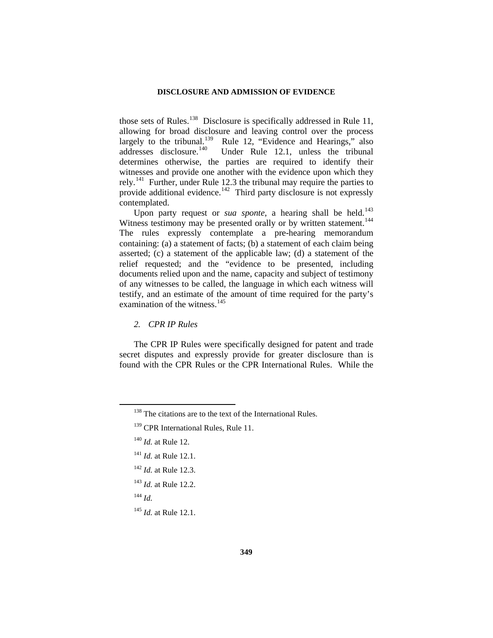those sets of Rules.<sup>138</sup> Disclosure is specifically addressed in Rule 11, allowing for broad disclosure and leaving control over the process largely to the tribunal.<sup>139</sup> Rule 12, "Evidence and Hearings," also addresses disclosure.<sup>140</sup> Under Rule 12.1, unless the tribunal determines otherwise, the parties are required to identify their witnesses and provide one another with the evidence upon which they rely.[141](#page-24-3) Further, under Rule 12.3 the tribunal may require the parties to provide additional evidence.<sup>[142](#page-24-4)</sup> Third party disclosure is not expressly contemplated.

Upon party request or *sua sponte*, a hearing shall be held.<sup>143</sup> Witness testimony may be presented orally or by written statement.<sup>144</sup> The rules expressly contemplate a pre-hearing memorandum containing: (a) a statement of facts; (b) a statement of each claim being asserted; (c) a statement of the applicable law; (d) a statement of the relief requested; and the "evidence to be presented, including documents relied upon and the name, capacity and subject of testimony of any witnesses to be called, the language in which each witness will testify, and an estimate of the amount of time required for the party's examination of the witness.<sup>[145](#page-24-7)</sup>

*2. CPR IP Rules*

The CPR IP Rules were specifically designed for patent and trade secret disputes and expressly provide for greater disclosure than is found with the CPR Rules or the CPR International Rules. While the

- <span id="page-24-4"></span><sup>142</sup> *Id.* at Rule 12.3.
- <span id="page-24-5"></span><sup>143</sup> *Id.* at Rule 12.2.
- <span id="page-24-6"></span><sup>144</sup> *Id.*

<span id="page-24-0"></span> $138$  The citations are to the text of the International Rules.

<span id="page-24-1"></span><sup>&</sup>lt;sup>139</sup> CPR International Rules, Rule 11.

<span id="page-24-2"></span><sup>140</sup> *Id.* at Rule 12.

<span id="page-24-3"></span><sup>141</sup> *Id.* at Rule 12.1.

<span id="page-24-7"></span><sup>145</sup> *Id.* at Rule 12.1.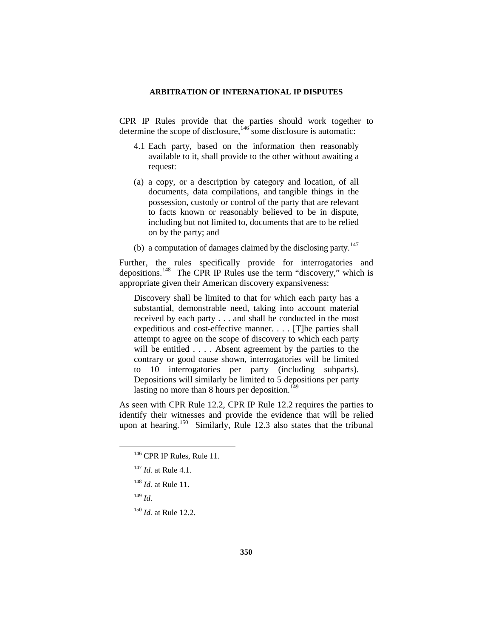CPR IP Rules provide that the parties should work together to determine the scope of disclosure,[146](#page-25-0) some disclosure is automatic:

- 4.1 Each party, based on the information then reasonably available to it, shall provide to the other without awaiting a request:
- (a) a copy, or a description by category and location, of all documents, data compilations, and tangible things in the possession, custody or control of the party that are relevant to facts known or reasonably believed to be in dispute, including but not limited to, documents that are to be relied on by the party; and
- (b) a computation of damages claimed by the disclosing party. $147$

Further, the rules specifically provide for interrogatories and depositions.<sup>[148](#page-25-2)</sup> The CPR IP Rules use the term "discovery," which is appropriate given their American discovery expansiveness:

Discovery shall be limited to that for which each party has a substantial, demonstrable need, taking into account material received by each party . . . and shall be conducted in the most expeditious and cost-effective manner. . . . [T]he parties shall attempt to agree on the scope of discovery to which each party will be entitled . . . . Absent agreement by the parties to the contrary or good cause shown, interrogatories will be limited to 10 interrogatories per party (including subparts). Depositions will similarly be limited to 5 depositions per party lasting no more than 8 hours per deposition.<sup>[149](#page-25-3)</sup>

<span id="page-25-0"></span>As seen with CPR Rule 12.2, CPR IP Rule 12.2 requires the parties to identify their witnesses and provide the evidence that will be relied upon at hearing.<sup>150</sup> Similarly, Rule 12.3 also states that the tribunal

<sup>&</sup>lt;sup>146</sup> CPR IP Rules, Rule 11.

<span id="page-25-1"></span><sup>147</sup> *Id.* at Rule 4.1.

<span id="page-25-2"></span><sup>148</sup> *Id.* at Rule 11.

<span id="page-25-3"></span><sup>149</sup> *Id*.

<span id="page-25-4"></span><sup>150</sup> *Id.* at Rule 12.2.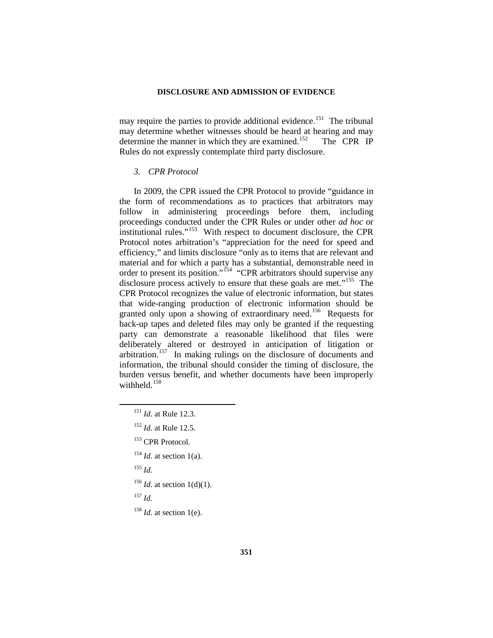may require the parties to provide additional evidence.<sup>[151](#page-26-0)</sup> The tribunal may determine whether witnesses should be heard at hearing and may determine the manner in which they are examined.<sup>[152](#page-26-1)</sup> The CPR IP Rules do not expressly contemplate third party disclosure.

### *3. CPR Protocol*

In 2009, the CPR issued the CPR Protocol to provide "guidance in the form of recommendations as to practices that arbitrators may follow in administering proceedings before them, including proceedings conducted under the CPR Rules or under other *ad hoc* or institutional rules."[153](#page-26-2) With respect to document disclosure, the CPR Protocol notes arbitration's "appreciation for the need for speed and efficiency," and limits disclosure "only as to items that are relevant and material and for which a party has a substantial, demonstrable need in order to present its position."<sup>[154](#page-26-3)</sup> "CPR arbitrators should supervise any disclosure process actively to ensure that these goals are met."<sup>155</sup> The CPR Protocol recognizes the value of electronic information, but states that wide-ranging production of electronic information should be granted only upon a showing of extraordinary need.<sup>[156](#page-26-5)</sup> Requests for back-up tapes and deleted files may only be granted if the requesting party can demonstrate a reasonable likelihood that files were deliberately altered or destroyed in anticipation of litigation or arbitration.<sup>157</sup> In making rulings on the disclosure of documents and information, the tribunal should consider the timing of disclosure, the burden versus benefit, and whether documents have been improperly withheld.<sup>[158](#page-26-7)</sup>

- <sup>155</sup> *Id.*
- <span id="page-26-4"></span><sup>156</sup> *Id.* at section 1(d)(1).
- <span id="page-26-6"></span><span id="page-26-5"></span><sup>157</sup> *Id.*

<span id="page-26-0"></span> <sup>151</sup> *Id.* at Rule 12.3.

<sup>152</sup> *Id.* at Rule 12.5.

<span id="page-26-2"></span><span id="page-26-1"></span><sup>&</sup>lt;sup>153</sup> CPR Protocol.

<span id="page-26-3"></span> $154$  *Id.* at section 1(a).

<span id="page-26-7"></span><sup>&</sup>lt;sup>158</sup> *Id.* at section 1(e).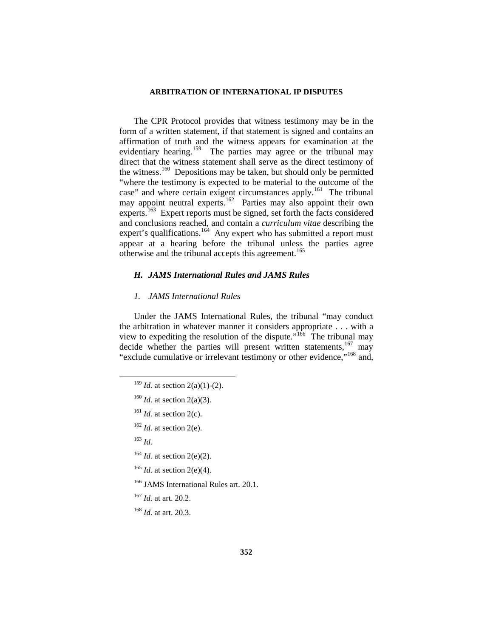The CPR Protocol provides that witness testimony may be in the form of a written statement, if that statement is signed and contains an affirmation of truth and the witness appears for examination at the evidentiary hearing.<sup>159</sup> The parties may agree or the tribunal may direct that the witness statement shall serve as the direct testimony of the witness.<sup>[160](#page-27-1)</sup> Depositions may be taken, but should only be permitted "where the testimony is expected to be material to the outcome of the case" and where certain exigent circumstances apply.<sup>161</sup> The tribunal may appoint neutral experts.<sup>162</sup> Parties may also appoint their own experts.<sup>163</sup> Expert reports must be signed, set forth the facts considered and conclusions reached, and contain a *curriculum vitae* describing the expert's qualifications.<sup>[164](#page-27-5)</sup> Any expert who has submitted a report must appear at a hearing before the tribunal unless the parties agree otherwise and the tribunal accepts this agreement.<sup>[165](#page-27-6)</sup>

## *H. JAMS International Rules and JAMS Rules*

## *1. JAMS International Rules*

Under the JAMS International Rules, the tribunal "may conduct the arbitration in whatever manner it considers appropriate . . . with a view to expediting the resolution of the dispute.<sup> $\frac{1}{66}$ </sup> The tribunal may decide whether the parties will present written statements,<sup>[167](#page-27-8)</sup> may "exclude cumulative or irrelevant testimony or other evidence,"[168](#page-27-9) and,

- <span id="page-27-4"></span><span id="page-27-3"></span><sup>163</sup> *Id.*
- <span id="page-27-5"></span><sup>164</sup> *Id.* at section 2(e)(2).
- <span id="page-27-6"></span><sup>165</sup> *Id.* at section 2(e)(4).
- <span id="page-27-7"></span><sup>166</sup> JAMS International Rules art. 20.1.
- <span id="page-27-8"></span><sup>167</sup> *Id.* at art. 20.2.

<span id="page-27-9"></span><sup>168</sup> *Id.* at art. 20.3.

<span id="page-27-0"></span><sup>&</sup>lt;sup>159</sup> *Id.* at section 2(a)(1)-(2).

<span id="page-27-1"></span><sup>160</sup> *Id.* at section 2(a)(3).

<span id="page-27-2"></span> $161$  *Id.* at section 2(c).

 $162$  *Id.* at section 2(e).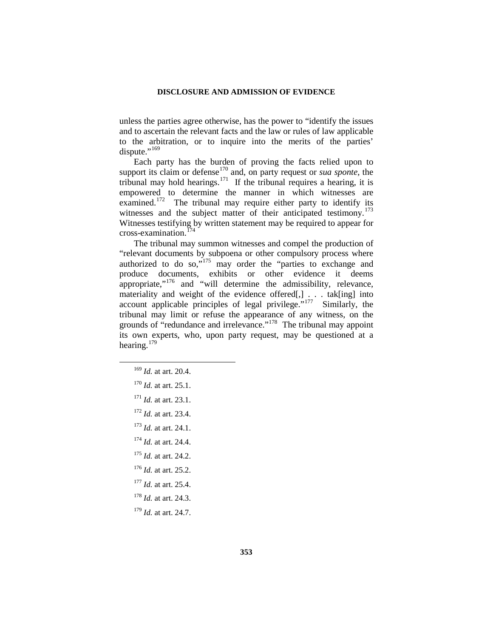unless the parties agree otherwise, has the power to "identify the issues and to ascertain the relevant facts and the law or rules of law applicable to the arbitration, or to inquire into the merits of the parties' dispute." $169$ 

Each party has the burden of proving the facts relied upon to support its claim or defense<sup>[170](#page-28-1)</sup> and, on party request or *sua sponte*, the tribunal may hold hearings.<sup>171</sup> If the tribunal requires a hearing, it is empowered to determine the manner in which witnesses are examined.<sup>172</sup> The tribunal may require either party to identify its witnesses and the subject matter of their anticipated testimony.<sup>173</sup> Witnesses testifying by written statement may be required to appear for cross-examination.[174](#page-28-5)

The tribunal may summon witnesses and compel the production of "relevant documents by subpoena or other compulsory process where authorized to do so, $\frac{1}{175}$  $\frac{1}{175}$  $\frac{1}{175}$  may order the "parties to exchange and produce documents, exhibits or other evidence it deems appropriate,"[176](#page-28-7) and "will determine the admissibility, relevance, materiality and weight of the evidence offered[,]  $\ldots$  tak[ing] into account applicable principles of legal privilege."<sup>177</sup> Similarly, the tribunal may limit or refuse the appearance of any witness, on the grounds of "redundance and irrelevance."<sup>178</sup> The tribunal may appoint its own experts, who, upon party request, may be questioned at a hearing.<sup>[179](#page-28-10)</sup>

- <span id="page-28-4"></span><span id="page-28-3"></span><sup>173</sup> *Id.* at art. 24.1.
- <span id="page-28-5"></span><sup>174</sup> *Id.* at art. 24.4.
- <span id="page-28-6"></span><sup>175</sup> *Id.* at art. 24.2.
- <sup>176</sup> *Id.* at art. 25.2.
- <span id="page-28-8"></span><span id="page-28-7"></span><sup>177</sup> *Id.* at art. 25.4.
- <span id="page-28-9"></span><sup>178</sup> *Id.* at art. 24.3.
- <span id="page-28-10"></span><sup>179</sup> *Id.* at art. 24.7.

<span id="page-28-1"></span><span id="page-28-0"></span> <sup>169</sup> *Id.* at art. 20.4.

<sup>170</sup> *Id.* at art. 25.1.

<span id="page-28-2"></span><sup>171</sup> *Id.* at art. 23.1.

<sup>172</sup> *Id.* at art. 23.4.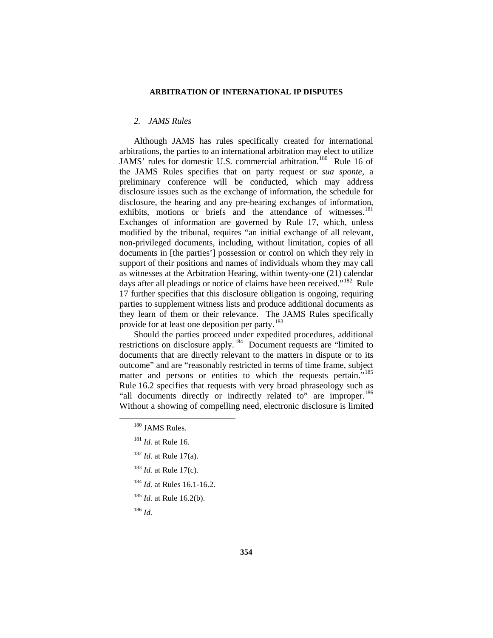## *2. JAMS Rules*

Although JAMS has rules specifically created for international arbitrations, the parties to an international arbitration may elect to utilize JAMS' rules for domestic U.S. commercial arbitration.<sup>180</sup> Rule 16 of the JAMS Rules specifies that on party request or *sua sponte*, a preliminary conference will be conducted, which may address disclosure issues such as the exchange of information, the schedule for disclosure, the hearing and any pre-hearing exchanges of information, exhibits, motions or briefs and the attendance of witnesses.<sup>[181](#page-29-1)</sup> Exchanges of information are governed by Rule 17, which, unless modified by the tribunal, requires "an initial exchange of all relevant, non-privileged documents, including, without limitation, copies of all documents in [the parties'] possession or control on which they rely in support of their positions and names of individuals whom they may call as witnesses at the Arbitration Hearing, within twenty-one (21) calendar days after all pleadings or notice of claims have been received."<sup>182</sup> Rule 17 further specifies that this disclosure obligation is ongoing, requiring parties to supplement witness lists and produce additional documents as they learn of them or their relevance. The JAMS Rules specifically provide for at least one deposition per party.<sup>[183](#page-29-3)</sup>

Should the parties proceed under expedited procedures, additional restrictions on disclosure apply.[184](#page-29-4) Document requests are "limited to documents that are directly relevant to the matters in dispute or to its outcome" and are "reasonably restricted in terms of time frame, subject matter and persons or entities to which the requests pertain."<sup>185</sup> Rule 16.2 specifies that requests with very broad phraseology such as "all documents directly or indirectly related to" are improper.<sup>186</sup> Without a showing of compelling need, electronic disclosure is limited

- <span id="page-29-2"></span><sup>182</sup> *Id*. at Rule 17(a).
- <span id="page-29-3"></span><sup>183</sup> *Id.* at Rule 17(c).
- <span id="page-29-4"></span><sup>184</sup> *Id.* at Rules 16.1-16.2.
- <span id="page-29-5"></span><sup>185</sup> *Id.* at Rule 16.2(b).
- <span id="page-29-6"></span><sup>186</sup> *Id.*

<span id="page-29-0"></span><sup>&</sup>lt;sup>180</sup> JAMS Rules.

<span id="page-29-1"></span><sup>181</sup> *Id.* at Rule 16.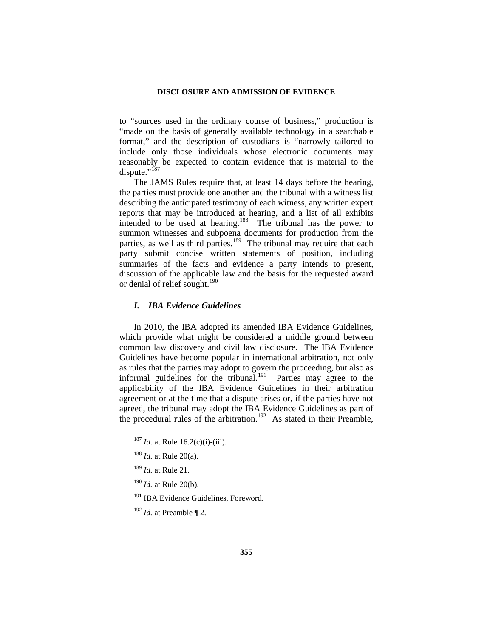to "sources used in the ordinary course of business," production is "made on the basis of generally available technology in a searchable format," and the description of custodians is "narrowly tailored to include only those individuals whose electronic documents may reasonably be expected to contain evidence that is material to the dispute."<sup>[187](#page-30-0)</sup>

The JAMS Rules require that, at least 14 days before the hearing, the parties must provide one another and the tribunal with a witness list describing the anticipated testimony of each witness, any written expert reports that may be introduced at hearing, and a list of all exhibits intended to be used at hearing.<sup>[188](#page-30-1)</sup> The tribunal has the power to summon witnesses and subpoena documents for production from the parties, as well as third parties.<sup>189</sup> The tribunal may require that each party submit concise written statements of position, including summaries of the facts and evidence a party intends to present, discussion of the applicable law and the basis for the requested award or denial of relief sought.<sup>[190](#page-30-3)</sup>

## *I. IBA Evidence Guidelines*

In 2010, the IBA adopted its amended IBA Evidence Guidelines, which provide what might be considered a middle ground between common law discovery and civil law disclosure. The IBA Evidence Guidelines have become popular in international arbitration, not only as rules that the parties may adopt to govern the proceeding, but also as informal guidelines for the tribunal.<sup>191</sup> Parties may agree to the applicability of the IBA Evidence Guidelines in their arbitration agreement or at the time that a dispute arises or, if the parties have not agreed, the tribunal may adopt the IBA Evidence Guidelines as part of the procedural rules of the arbitration.<sup>192</sup> As stated in their Preamble,

<span id="page-30-0"></span> $187$  *Id.* at Rule 16.2(c)(i)-(iii).

<span id="page-30-1"></span><sup>188</sup> *Id.* at Rule 20(a).

<span id="page-30-2"></span><sup>189</sup> *Id.* at Rule 21.

<span id="page-30-3"></span><sup>190</sup> *Id.* at Rule 20(b).

<span id="page-30-4"></span><sup>&</sup>lt;sup>191</sup> IBA Evidence Guidelines, Foreword.

<span id="page-30-5"></span><sup>192</sup> *Id.* at Preamble ¶ 2.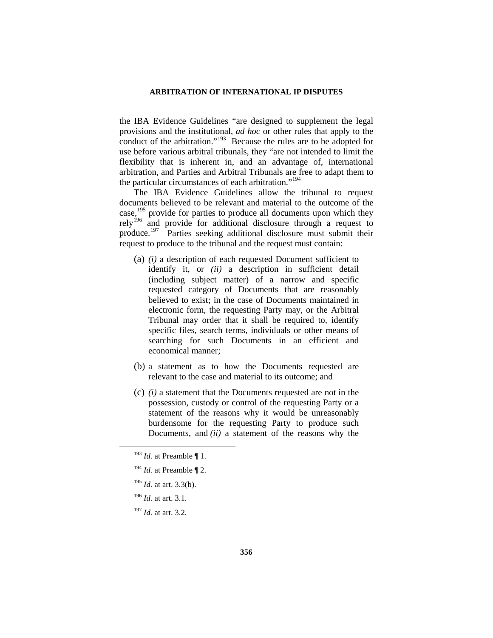the IBA Evidence Guidelines "are designed to supplement the legal provisions and the institutional, *ad hoc* or other rules that apply to the conduct of the arbitration."<sup>193</sup> Because the rules are to be adopted for use before various arbitral tribunals, they "are not intended to limit the flexibility that is inherent in, and an advantage of, international arbitration, and Parties and Arbitral Tribunals are free to adapt them to the particular circumstances of each arbitration."<sup>[194](#page-31-1)</sup>

The IBA Evidence Guidelines allow the tribunal to request documents believed to be relevant and material to the outcome of the case,<sup>[195](#page-31-2)</sup> provide for parties to produce all documents upon which they rely<sup>[196](#page-31-3)</sup> and provide for additional disclosure through a request to produce.[197](#page-31-4) Parties seeking additional disclosure must submit their request to produce to the tribunal and the request must contain:

- (a) *(i)* a description of each requested Document sufficient to identify it, or *(ii)* a description in sufficient detail (including subject matter) of a narrow and specific requested category of Documents that are reasonably believed to exist; in the case of Documents maintained in electronic form, the requesting Party may, or the Arbitral Tribunal may order that it shall be required to, identify specific files, search terms, individuals or other means of searching for such Documents in an efficient and economical manner;
- (b) a statement as to how the Documents requested are relevant to the case and material to its outcome; and
- (c) *(i)* a statement that the Documents requested are not in the possession, custody or control of the requesting Party or a statement of the reasons why it would be unreasonably burdensome for the requesting Party to produce such Documents, and *(ii)* a statement of the reasons why the

- <span id="page-31-2"></span><sup>195</sup> *Id.* at art. 3.3(b).
- <span id="page-31-3"></span><sup>196</sup> *Id.* at art. 3.1.
- <span id="page-31-4"></span><sup>197</sup> *Id.* at art. 3.2.

<span id="page-31-0"></span> <sup>193</sup> *Id.* at Preamble ¶ 1.

<span id="page-31-1"></span><sup>194</sup> *Id.* at Preamble ¶ 2.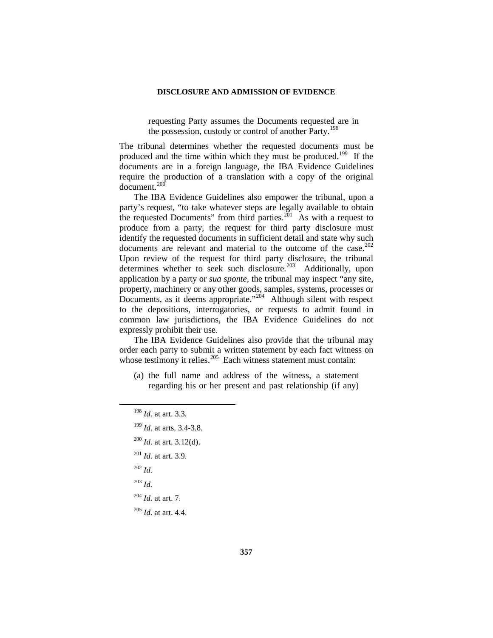requesting Party assumes the Documents requested are in the possession, custody or control of another Party.<sup>[198](#page-32-0)</sup>

The tribunal determines whether the requested documents must be produced and the time within which they must be produced.<sup>199</sup> If the documents are in a foreign language, the IBA Evidence Guidelines require the production of a translation with a copy of the original document.<sup>[200](#page-32-2)</sup>

The IBA Evidence Guidelines also empower the tribunal, upon a party's request, "to take whatever steps are legally available to obtain the requested Documents" from third parties.<sup>[201](#page-32-3)</sup> As with a request to produce from a party, the request for third party disclosure must identify the requested documents in sufficient detail and state why such documents are relevant and material to the outcome of the case.<sup>202</sup> Upon review of the request for third party disclosure, the tribunal determines whether to seek such disclosure.<sup>203</sup> Additionally, upon application by a party or *sua sponte*, the tribunal may inspect "any site, property, machinery or any other goods, samples, systems, processes or Documents, as it deems appropriate."<sup>204</sup> Although silent with respect to the depositions, interrogatories, or requests to admit found in common law jurisdictions, the IBA Evidence Guidelines do not expressly prohibit their use.

The IBA Evidence Guidelines also provide that the tribunal may order each party to submit a written statement by each fact witness on whose testimony it relies. $205$  Each witness statement must contain:

(a) the full name and address of the witness, a statement regarding his or her present and past relationship (if any)

- <span id="page-32-4"></span><sup>202</sup> *Id.*
- <span id="page-32-5"></span><sup>203</sup> *Id.*
- <sup>204</sup> *Id.* at art. 7.

<span id="page-32-7"></span><span id="page-32-6"></span><sup>205</sup> *Id.* at art. 4.4.

<span id="page-32-0"></span> <sup>198</sup> *Id.* at art. 3.3.

<sup>199</sup> *Id.* at arts. 3.4-3.8.

<span id="page-32-2"></span><span id="page-32-1"></span><sup>200</sup> *Id.* at art. 3.12(d).

<span id="page-32-3"></span><sup>201</sup> *Id.* at art. 3.9.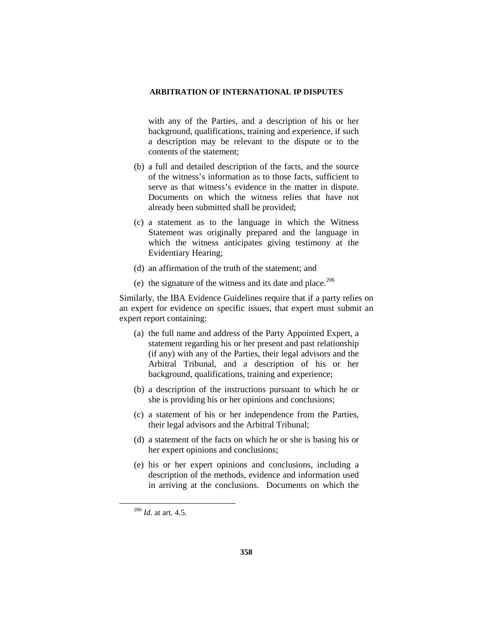with any of the Parties, and a description of his or her background, qualifications, training and experience, if such a description may be relevant to the dispute or to the contents of the statement;

- (b) a full and detailed description of the facts, and the source of the witness's information as to those facts, sufficient to serve as that witness's evidence in the matter in dispute. Documents on which the witness relies that have not already been submitted shall be provided;
- (c) a statement as to the language in which the Witness Statement was originally prepared and the language in which the witness anticipates giving testimony at the Evidentiary Hearing;
- (d) an affirmation of the truth of the statement; and
- (e) the signature of the witness and its date and place. $206$

Similarly, the IBA Evidence Guidelines require that if a party relies on an expert for evidence on specific issues, that expert must submit an expert report containing:

- (a) the full name and address of the Party Appointed Expert, a statement regarding his or her present and past relationship (if any) with any of the Parties, their legal advisors and the Arbitral Tribunal, and a description of his or her background, qualifications, training and experience;
- (b) a description of the instructions pursuant to which he or she is providing his or her opinions and conclusions;
- (c) a statement of his or her independence from the Parties, their legal advisors and the Arbitral Tribunal;
- (d) a statement of the facts on which he or she is basing his or her expert opinions and conclusions;
- (e) his or her expert opinions and conclusions, including a description of the methods, evidence and information used in arriving at the conclusions. Documents on which the

<span id="page-33-0"></span> <sup>206</sup> *Id.* at art. 4.5.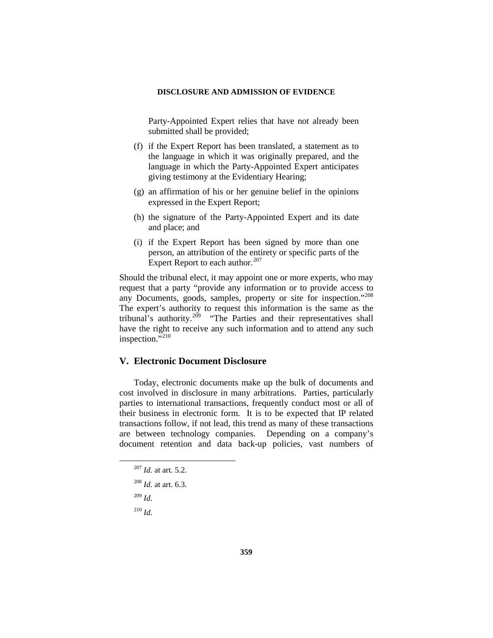Party-Appointed Expert relies that have not already been submitted shall be provided;

- (f) if the Expert Report has been translated, a statement as to the language in which it was originally prepared, and the language in which the Party-Appointed Expert anticipates giving testimony at the Evidentiary Hearing;
- (g) an affirmation of his or her genuine belief in the opinions expressed in the Expert Report;
- (h) the signature of the Party-Appointed Expert and its date and place; and
- (i) if the Expert Report has been signed by more than one person, an attribution of the entirety or specific parts of the Expert Report to each author.<sup>[207](#page-34-0)</sup>

Should the tribunal elect, it may appoint one or more experts, who may request that a party "provide any information or to provide access to any Documents, goods, samples, property or site for inspection."[208](#page-34-1)  The expert's authority to request this information is the same as the tribunal's authority.<sup>[209](#page-34-2)</sup> "The Parties and their representatives shall have the right to receive any such information and to attend any such inspection."<sup>[210](#page-34-3)</sup>

## **V. Electronic Document Disclosure**

Today, electronic documents make up the bulk of documents and cost involved in disclosure in many arbitrations. Parties, particularly parties to international transactions, frequently conduct most or all of their business in electronic form. It is to be expected that IP related transactions follow, if not lead, this trend as many of these transactions are between technology companies. Depending on a company's document retention and data back-up policies, vast numbers of

<span id="page-34-2"></span><sup>209</sup> *Id.*

<span id="page-34-3"></span><sup>210</sup> *Id.*

<span id="page-34-0"></span> <sup>207</sup> *Id.* at art. 5.2.

<span id="page-34-1"></span><sup>208</sup> *Id.* at art. 6.3.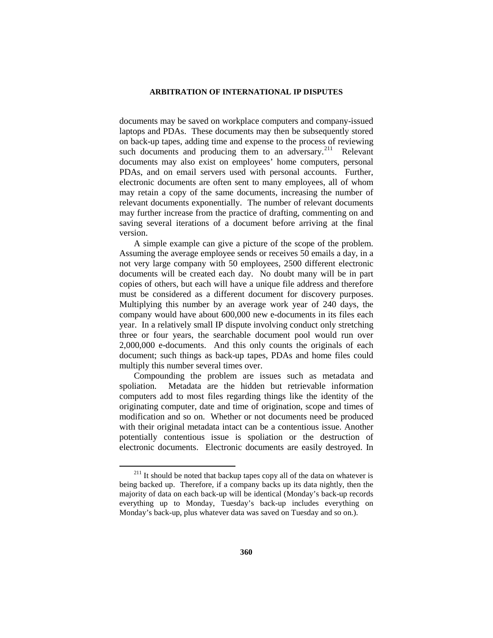documents may be saved on workplace computers and company-issued laptops and PDAs. These documents may then be subsequently stored on back-up tapes, adding time and expense to the process of reviewing such documents and producing them to an adversary.<sup>[211](#page-35-0)</sup> Relevant documents may also exist on employees' home computers, personal PDAs, and on email servers used with personal accounts. Further, electronic documents are often sent to many employees, all of whom may retain a copy of the same documents, increasing the number of relevant documents exponentially. The number of relevant documents may further increase from the practice of drafting, commenting on and saving several iterations of a document before arriving at the final version.

A simple example can give a picture of the scope of the problem. Assuming the average employee sends or receives 50 emails a day, in a not very large company with 50 employees, 2500 different electronic documents will be created each day. No doubt many will be in part copies of others, but each will have a unique file address and therefore must be considered as a different document for discovery purposes. Multiplying this number by an average work year of 240 days, the company would have about 600,000 new e-documents in its files each year. In a relatively small IP dispute involving conduct only stretching three or four years, the searchable document pool would run over 2,000,000 e-documents. And this only counts the originals of each document; such things as back-up tapes, PDAs and home files could multiply this number several times over.

Compounding the problem are issues such as metadata and spoliation. Metadata are the hidden but retrievable information computers add to most files regarding things like the identity of the originating computer, date and time of origination, scope and times of modification and so on. Whether or not documents need be produced with their original metadata intact can be a contentious issue. Another potentially contentious issue is spoliation or the destruction of electronic documents. Electronic documents are easily destroyed. In

<span id="page-35-0"></span> $211$  It should be noted that backup tapes copy all of the data on whatever is being backed up. Therefore, if a company backs up its data nightly, then the majority of data on each back-up will be identical (Monday's back-up records everything up to Monday, Tuesday's back-up includes everything on Monday's back-up, plus whatever data was saved on Tuesday and so on.).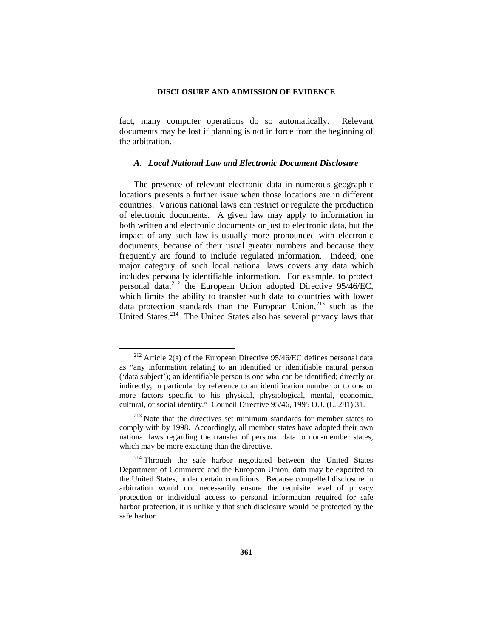fact, many computer operations do so automatically. Relevant documents may be lost if planning is not in force from the beginning of the arbitration.

### *A. Local National Law and Electronic Document Disclosure*

The presence of relevant electronic data in numerous geographic locations presents a further issue when those locations are in different countries. Various national laws can restrict or regulate the production of electronic documents. A given law may apply to information in both written and electronic documents or just to electronic data, but the impact of any such law is usually more pronounced with electronic documents, because of their usual greater numbers and because they frequently are found to include regulated information. Indeed, one major category of such local national laws covers any data which includes personally identifiable information. For example, to protect personal data,[212](#page-36-0) the European Union adopted Directive 95/46/EC, which limits the ability to transfer such data to countries with lower data protection standards than the European Union, $^{213}$  $^{213}$  $^{213}$  such as the United States.<sup>214</sup> The United States also has several privacy laws that

<span id="page-36-0"></span> $212$  Article 2(a) of the European Directive 95/46/EC defines personal data as "any information relating to an identified or identifiable natural person ('data subject'); an identifiable person is one who can be identified; directly or indirectly, in particular by reference to an identification number or to one or more factors specific to his physical, physiological, mental, economic, cultural, or social identity." Council Directive 95/46, 1995 O.J. (L. 281) 31.

<span id="page-36-1"></span><sup>&</sup>lt;sup>213</sup> Note that the directives set minimum standards for member states to comply with by 1998. Accordingly, all member states have adopted their own national laws regarding the transfer of personal data to non-member states, which may be more exacting than the directive.

<span id="page-36-2"></span><sup>&</sup>lt;sup>214</sup> Through the safe harbor negotiated between the United States Department of Commerce and the European Union, data may be exported to the United States, under certain conditions. Because compelled disclosure in arbitration would not necessarily ensure the requisite level of privacy protection or individual access to personal information required for safe harbor protection, it is unlikely that such disclosure would be protected by the safe harbor.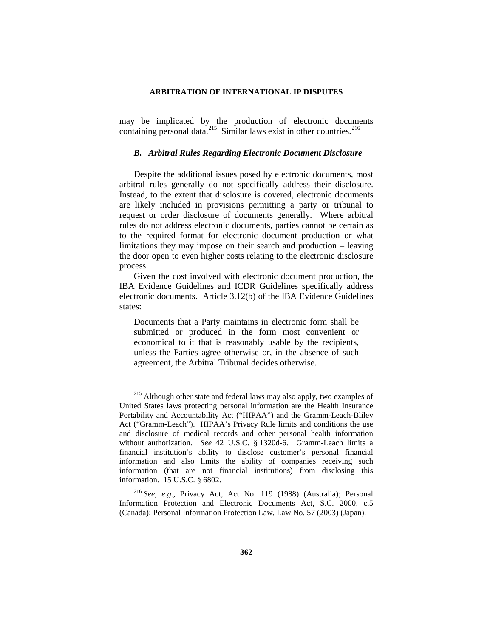may be implicated by the production of electronic documents containing personal data.<sup>215</sup> Similar laws exist in other countries.<sup>[216](#page-37-1)</sup>

### *B. Arbitral Rules Regarding Electronic Document Disclosure*

Despite the additional issues posed by electronic documents, most arbitral rules generally do not specifically address their disclosure. Instead, to the extent that disclosure is covered, electronic documents are likely included in provisions permitting a party or tribunal to request or order disclosure of documents generally. Where arbitral rules do not address electronic documents, parties cannot be certain as to the required format for electronic document production or what limitations they may impose on their search and production – leaving the door open to even higher costs relating to the electronic disclosure process.

Given the cost involved with electronic document production, the IBA Evidence Guidelines and ICDR Guidelines specifically address electronic documents. Article 3.12(b) of the IBA Evidence Guidelines states:

Documents that a Party maintains in electronic form shall be submitted or produced in the form most convenient or economical to it that is reasonably usable by the recipients, unless the Parties agree otherwise or, in the absence of such agreement, the Arbitral Tribunal decides otherwise.

<span id="page-37-0"></span><sup>&</sup>lt;sup>215</sup> Although other state and federal laws may also apply, two examples of United States laws protecting personal information are the Health Insurance Portability and Accountability Act ("HIPAA") and the Gramm-Leach-Bliley Act ("Gramm-Leach"). HIPAA's Privacy Rule limits and conditions the use and disclosure of medical records and other personal health information without authorization. *See* 42 U.S.C. § 1320d-6. Gramm-Leach limits a financial institution's ability to disclose customer's personal financial information and also limits the ability of companies receiving such information (that are not financial institutions) from disclosing this information. 15 U.S.C. § 6802.

<span id="page-37-1"></span><sup>216</sup> *See, e.g.,* Privacy Act, Act No. 119 (1988) (Australia); Personal Information Protection and Electronic Documents Act, S.C. 2000, c.5 (Canada); Personal Information Protection Law, Law No. 57 (2003) (Japan).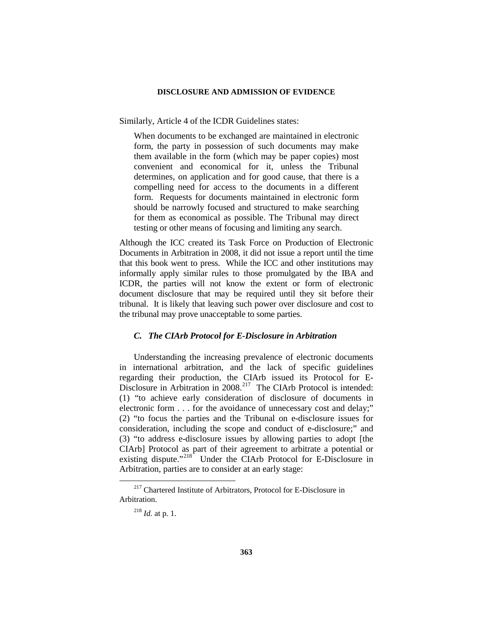Similarly, Article 4 of the ICDR Guidelines states:

When documents to be exchanged are maintained in electronic form, the party in possession of such documents may make them available in the form (which may be paper copies) most convenient and economical for it, unless the Tribunal determines, on application and for good cause, that there is a compelling need for access to the documents in a different form. Requests for documents maintained in electronic form should be narrowly focused and structured to make searching for them as economical as possible. The Tribunal may direct testing or other means of focusing and limiting any search.

Although the ICC created its Task Force on Production of Electronic Documents in Arbitration in 2008, it did not issue a report until the time that this book went to press. While the ICC and other institutions may informally apply similar rules to those promulgated by the IBA and ICDR, the parties will not know the extent or form of electronic document disclosure that may be required until they sit before their tribunal. It is likely that leaving such power over disclosure and cost to the tribunal may prove unacceptable to some parties.

### *C. The CIArb Protocol for E-Disclosure in Arbitration*

Understanding the increasing prevalence of electronic documents in international arbitration, and the lack of specific guidelines regarding their production, the CIArb issued its Protocol for E-Disclosure in Arbitration in 2008.<sup>[217](#page-38-0)</sup> The CIArb Protocol is intended: (1) "to achieve early consideration of disclosure of documents in electronic form . . . for the avoidance of unnecessary cost and delay;" (2) "to focus the parties and the Tribunal on e-disclosure issues for consideration, including the scope and conduct of e-disclosure;" and (3) "to address e-disclosure issues by allowing parties to adopt [the CIArb] Protocol as part of their agreement to arbitrate a potential or existing dispute."<sup>218</sup> Under the CIArb Protocol for E-Disclosure in Arbitration, parties are to consider at an early stage:

<span id="page-38-1"></span><span id="page-38-0"></span><sup>&</sup>lt;sup>217</sup> Chartered Institute of Arbitrators, Protocol for E-Disclosure in Arbitration.

<sup>218</sup> *Id.* at p. 1.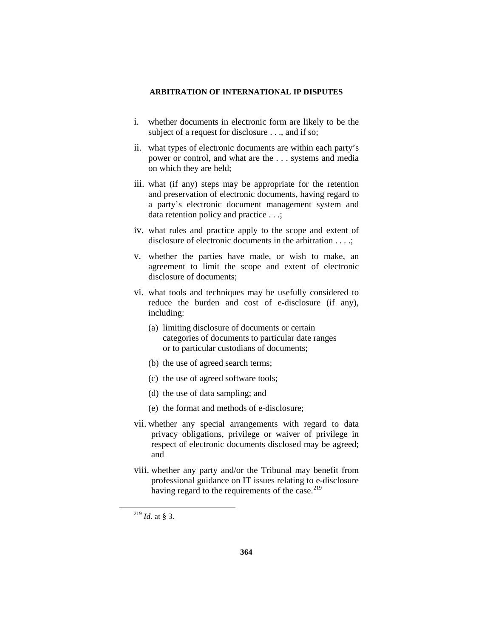- i. whether documents in electronic form are likely to be the subject of a request for disclosure . . ., and if so;
- ii. what types of electronic documents are within each party's power or control, and what are the . . . systems and media on which they are held;
- iii. what (if any) steps may be appropriate for the retention and preservation of electronic documents, having regard to a party's electronic document management system and data retention policy and practice . . .;
- iv. what rules and practice apply to the scope and extent of disclosure of electronic documents in the arbitration . . . .:
- v. whether the parties have made, or wish to make, an agreement to limit the scope and extent of electronic disclosure of documents;
- vi. what tools and techniques may be usefully considered to reduce the burden and cost of e-disclosure (if any), including:
	- (a) limiting disclosure of documents or certain categories of documents to particular date ranges or to particular custodians of documents;
	- (b) the use of agreed search terms;
	- (c) the use of agreed software tools;
	- (d) the use of data sampling; and
	- (e) the format and methods of e-disclosure;
- vii. whether any special arrangements with regard to data privacy obligations, privilege or waiver of privilege in respect of electronic documents disclosed may be agreed; and
- viii. whether any party and/or the Tribunal may benefit from professional guidance on IT issues relating to e-disclosure having regard to the requirements of the case. $219$

<span id="page-39-0"></span> <sup>219</sup> *Id.* at § 3.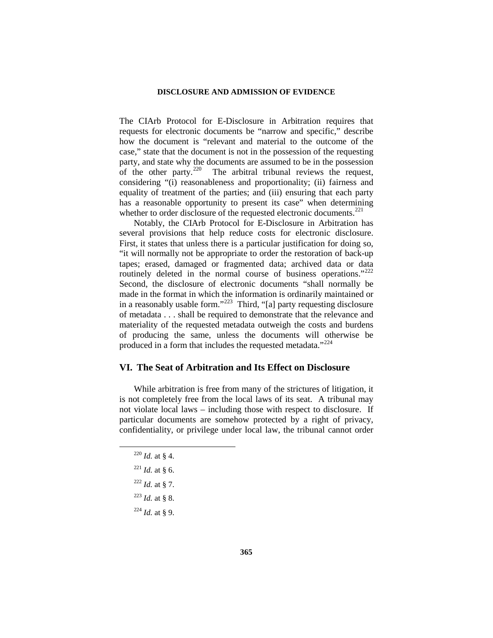The CIArb Protocol for E-Disclosure in Arbitration requires that requests for electronic documents be "narrow and specific," describe how the document is "relevant and material to the outcome of the case," state that the document is not in the possession of the requesting party, and state why the documents are assumed to be in the possession of the other party.<sup>220</sup> The arbitral tribunal reviews the request, The arbitral tribunal reviews the request, considering "(i) reasonableness and proportionality; (ii) fairness and equality of treatment of the parties; and (iii) ensuring that each party has a reasonable opportunity to present its case" when determining whether to order disclosure of the requested electronic documents.<sup>[221](#page-40-1)</sup>

Notably, the CIArb Protocol for E-Disclosure in Arbitration has several provisions that help reduce costs for electronic disclosure. First, it states that unless there is a particular justification for doing so, "it will normally not be appropriate to order the restoration of back-up tapes; erased, damaged or fragmented data; archived data or data routinely deleted in the normal course of business operations."<sup>222</sup> Second, the disclosure of electronic documents "shall normally be made in the format in which the information is ordinarily maintained or in a reasonably usable form."[223](#page-40-3) Third, "[a] party requesting disclosure of metadata . . . shall be required to demonstrate that the relevance and materiality of the requested metadata outweigh the costs and burdens of producing the same, unless the documents will otherwise be produced in a form that includes the requested metadata."<sup>[224](#page-40-4)</sup>

## **VI. The Seat of Arbitration and Its Effect on Disclosure**

While arbitration is free from many of the strictures of litigation, it is not completely free from the local laws of its seat. A tribunal may not violate local laws – including those with respect to disclosure. If particular documents are somehow protected by a right of privacy, confidentiality, or privilege under local law, the tribunal cannot order

- $^{220}$  *Id.* at § 4.
- <span id="page-40-1"></span><span id="page-40-0"></span> $^{221}$  *Id.* at § 6.
- <span id="page-40-2"></span> $^{222}$  *Id.* at § 7.
- <span id="page-40-3"></span> $^{223}$  *Id.* at § 8.
- <span id="page-40-4"></span>
- <sup>224</sup> *Id.* at § 9.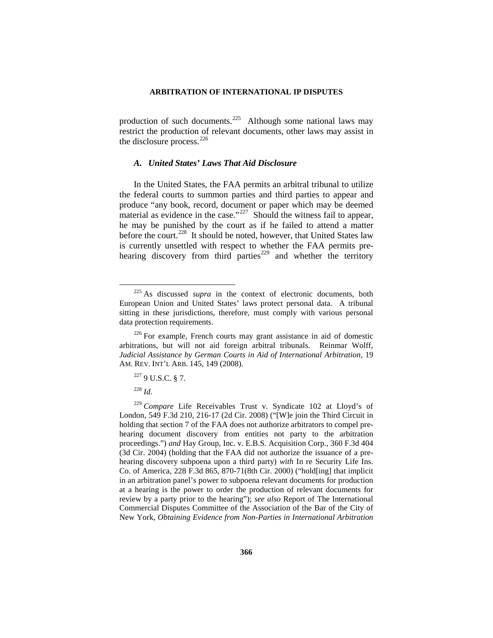production of such documents.<sup>[225](#page-41-0)</sup> Although some national laws may restrict the production of relevant documents, other laws may assist in the disclosure process.<sup>[226](#page-41-1)</sup>

### *A. United States' Laws That Aid Disclosure*

In the United States, the FAA permits an arbitral tribunal to utilize the federal courts to summon parties and third parties to appear and produce "any book, record, document or paper which may be deemed material as evidence in the case." $227$  Should the witness fail to appear, he may be punished by the court as if he failed to attend a matter before the court.<sup>228</sup> It should be noted, however, that United States law is currently unsettled with respect to whether the FAA permits pre-hearing discovery from third parties<sup>[229](#page-41-4)</sup> and whether the territory

<span id="page-41-0"></span> <sup>225</sup> As discussed *supra* in the context of electronic documents, both European Union and United States' laws protect personal data. A tribunal sitting in these jurisdictions, therefore, must comply with various personal data protection requirements.

<span id="page-41-1"></span> $226$  For example, French courts may grant assistance in aid of domestic arbitrations, but will not aid foreign arbitral tribunals. Reinmar Wolff, *Judicial Assistance by German Courts in Aid of International Arbitration*, 19 AM. REV. INT'L ARB. 145, 149 (2008).

 $227$  9 U.S.C. § 7.

<sup>228</sup> *Id*.

<span id="page-41-4"></span><span id="page-41-3"></span><span id="page-41-2"></span><sup>229</sup> *Compare* Life Receivables Trust v. Syndicate 102 at Lloyd's of London, 549 F.3d 210, 216-17 (2d Cir. 2008) ("[W]e join the Third Circuit in holding that section 7 of the FAA does not authorize arbitrators to compel prehearing document discovery from entities not party to the arbitration proceedings.") *and* Hay Group, Inc. v. E.B.S. Acquisition Corp., 360 F.3d 404 (3d Cir. 2004) (holding that the FAA did not authorize the issuance of a prehearing discovery subpoena upon a third party) *with* In re Security Life Ins. Co. of America, 228 F.3d 865, 870-71(8th Cir. 2000) ("hold[ing] that implicit in an arbitration panel's power to subpoena relevant documents for production at a hearing is the power to order the production of relevant documents for review by a party prior to the hearing"); *see also* Report of The International Commercial Disputes Committee of the Association of the Bar of the City of New York, *Obtaining Evidence from Non-Parties in International Arbitration*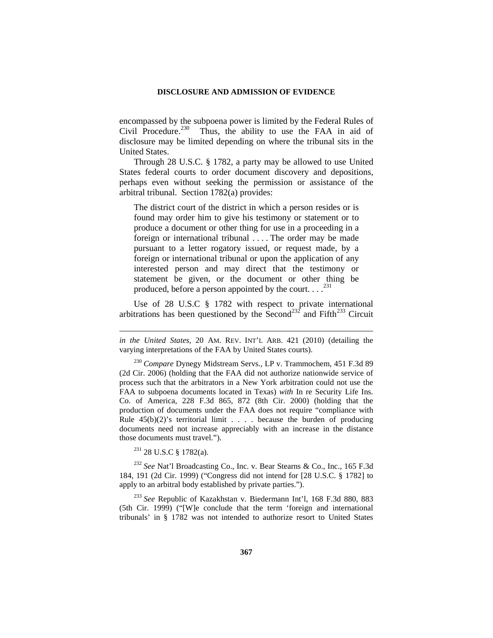encompassed by the subpoena power is limited by the Federal Rules of Civil Procedure.<sup>[230](#page-42-0)</sup> Thus, the ability to use the FAA in aid of disclosure may be limited depending on where the tribunal sits in the United States.

Through 28 U.S.C. § 1782, a party may be allowed to use United States federal courts to order document discovery and depositions, perhaps even without seeking the permission or assistance of the arbitral tribunal. Section 1782(a) provides:

The district court of the district in which a person resides or is found may order him to give his testimony or statement or to produce a document or other thing for use in a proceeding in a foreign or international tribunal . . . . The order may be made pursuant to a letter rogatory issued, or request made, by a foreign or international tribunal or upon the application of any interested person and may direct that the testimony or statement be given, or the document or other thing be produced, before a person appointed by the court.  $\ldots$ <sup>[231](#page-42-1)</sup>

Use of 28 U.S.C § 1782 with respect to private international arbitrations has been questioned by the Second<sup>[232](#page-42-2)</sup> and Fifth<sup>[233](#page-42-3)</sup> Circuit

<sup>231</sup> 28 U.S.C § 1782(a).

 $\overline{a}$ 

<span id="page-42-2"></span><span id="page-42-1"></span><sup>232</sup> *See* Nat'l Broadcasting Co., Inc. v. Bear Stearns & Co., Inc., 165 F.3d 184, 191 (2d Cir. 1999) ("Congress did not intend for [28 U.S.C. § 1782] to apply to an arbitral body established by private parties.").

<span id="page-42-3"></span><sup>233</sup> *See* Republic of Kazakhstan v. Biedermann Int'l, 168 F.3d 880, 883 (5th Cir. 1999) ("[W]e conclude that the term 'foreign and international tribunals' in § 1782 was not intended to authorize resort to United States

*in the United States,* 20 AM. REV. INT'L ARB. 421 (2010) (detailing the varying interpretations of the FAA by United States courts).

<span id="page-42-0"></span><sup>230</sup> *Compare* Dynegy Midstream Servs., LP v. Trammochem, 451 F.3d 89 (2d Cir. 2006) (holding that the FAA did not authorize nationwide service of process such that the arbitrators in a New York arbitration could not use the FAA to subpoena documents located in Texas) *with* In re Security Life Ins. Co. of America, 228 F.3d 865, 872 (8th Cir. 2000) (holding that the production of documents under the FAA does not require "compliance with Rule  $45(b)(2)$ 's territorial limit . . . . because the burden of producing documents need not increase appreciably with an increase in the distance those documents must travel.").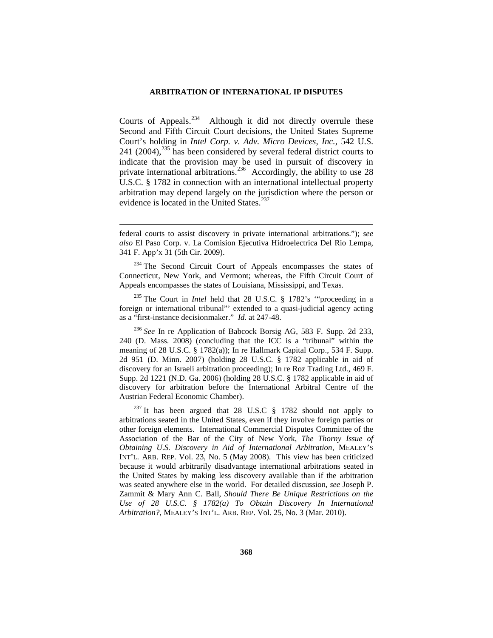Courts of Appeals. $^{234}$  $^{234}$  $^{234}$  Although it did not directly overrule these Second and Fifth Circuit Court decisions, the United States Supreme Court's holding in *Intel Corp. v. Adv. Micro Devices, Inc.*, 542 U.S. 241 (2004), $^{235}$  $^{235}$  $^{235}$  has been considered by several federal district courts to indicate that the provision may be used in pursuit of discovery in private international arbitrations.<sup>[236](#page-43-2)</sup> Accordingly, the ability to use 28 U.S.C. § 1782 in connection with an international intellectual property arbitration may depend largely on the jurisdiction where the person or evidence is located in the United States.<sup>[237](#page-43-3)</sup>

<span id="page-43-1"></span><sup>235</sup> The Court in *Intel* held that 28 U.S.C. § 1782's '"proceeding in a foreign or international tribunal"' extended to a quasi-judicial agency acting as a "first-instance decisionmaker." *Id.* at 247-48.

<span id="page-43-2"></span><sup>236</sup> *See* In re Application of Babcock Borsig AG, 583 F. Supp. 2d 233, 240 (D. Mass. 2008) (concluding that the ICC is a "tribunal" within the meaning of 28 U.S.C. § 1782(a)); In re Hallmark Capital Corp., 534 F. Supp. 2d 951 (D. Minn. 2007) (holding 28 U.S.C. § 1782 applicable in aid of discovery for an Israeli arbitration proceeding); In re Roz Trading Ltd., 469 F. Supp. 2d 1221 (N.D. Ga. 2006) (holding 28 U.S.C. § 1782 applicable in aid of discovery for arbitration before the International Arbitral Centre of the Austrian Federal Economic Chamber).

<span id="page-43-3"></span> $^{237}$  It has been argued that 28 U.S.C § 1782 should not apply to arbitrations seated in the United States, even if they involve foreign parties or other foreign elements. International Commercial Disputes Committee of the Association of the Bar of the City of New York, *The Thorny Issue of Obtaining U.S. Discovery in Aid of International Arbitration,* MEALEY'S INT'L. ARB. REP. Vol. 23, No. 5 (May 2008). This view has been criticized because it would arbitrarily disadvantage international arbitrations seated in the United States by making less discovery available than if the arbitration was seated anywhere else in the world. For detailed discussion, *see* Joseph P. Zammit & Mary Ann C. Ball, *Should There Be Unique Restrictions on the Use of 28 U.S.C. § 1782(a) To Obtain Discovery In International Arbitration?*, MEALEY'S INT'L. ARB. REP. Vol. 25, No. 3 (Mar. 2010).

federal courts to assist discovery in private international arbitrations."); *see also* El Paso Corp. v. La Comision Ejecutiva Hidroelectrica Del Rio Lempa, 341 F. App'x 31 (5th Cir. 2009).

<span id="page-43-0"></span><sup>&</sup>lt;sup>234</sup> The Second Circuit Court of Appeals encompasses the states of Connecticut, New York, and Vermont; whereas, the Fifth Circuit Court of Appeals encompasses the states of Louisiana, Mississippi, and Texas.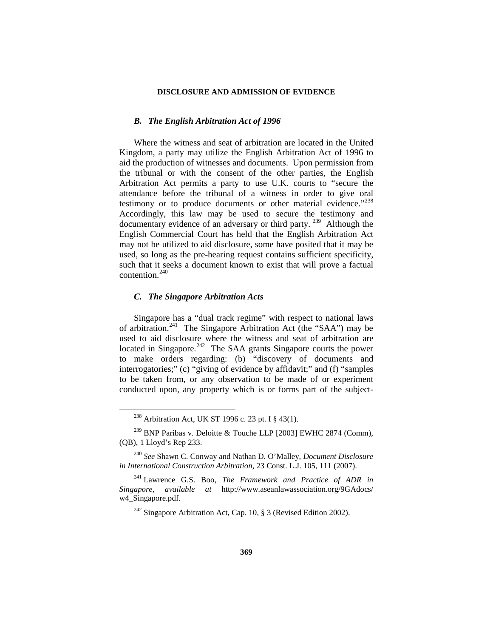### *B. The English Arbitration Act of 1996*

Where the witness and seat of arbitration are located in the United Kingdom, a party may utilize the English Arbitration Act of 1996 to aid the production of witnesses and documents. Upon permission from the tribunal or with the consent of the other parties, the English Arbitration Act permits a party to use U.K. courts to "secure the attendance before the tribunal of a witness in order to give oral testimony or to produce documents or other material evidence."<sup>238</sup> Accordingly, this law may be used to secure the testimony and documentary evidence of an adversary or third party. [239](#page-44-1) Although the English Commercial Court has held that the English Arbitration Act may not be utilized to aid disclosure, some have posited that it may be used, so long as the pre-hearing request contains sufficient specificity, such that it seeks a document known to exist that will prove a factual contention.[240](#page-44-2)

### *C. The Singapore Arbitration Acts*

Singapore has a "dual track regime" with respect to national laws of arbitration.<sup>241</sup> The Singapore Arbitration Act (the "SAA") may be used to aid disclosure where the witness and seat of arbitration are located in Singapore.<sup>242</sup> The SAA grants Singapore courts the power to make orders regarding: (b) "discovery of documents and interrogatories;" (c) "giving of evidence by affidavit;" and (f) "samples to be taken from, or any observation to be made of or experiment conducted upon, any property which is or forms part of the subject-

 <sup>238</sup> Arbitration Act, UK ST 1996 c. 23 pt. I § 43(1).

<span id="page-44-1"></span><span id="page-44-0"></span> $^{239}$  BNP Paribas v. Deloitte & Touche LLP [2003] EWHC 2874 (Comm), (QB), 1 Lloyd's Rep 233.

<span id="page-44-2"></span><sup>240</sup> *See* Shawn C. Conway and Nathan D. O'Malley, *Document Disclosure in International Construction Arbitration*, 23 Const. L.J. 105, 111 (2007).

<span id="page-44-4"></span><span id="page-44-3"></span><sup>241</sup> Lawrence G.S. Boo, *The Framework and Practice of ADR in Singapore*, *available at* http://www.aseanlawassociation.org/9GAdocs/ w4\_Singapore.pdf.

<sup>&</sup>lt;sup>242</sup> Singapore Arbitration Act, Cap. 10, § 3 (Revised Edition 2002).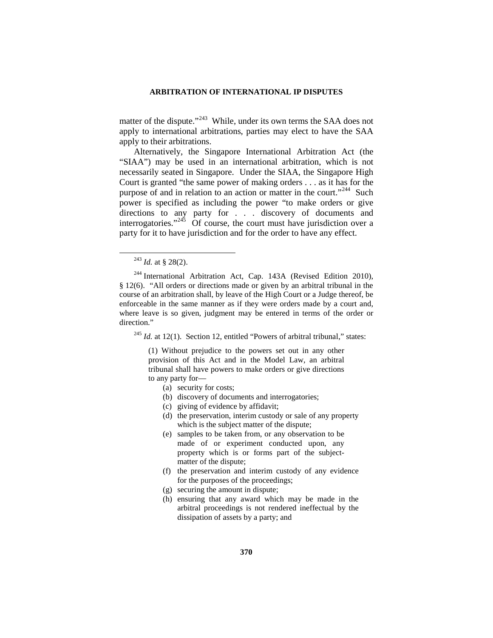matter of the dispute."<sup>243</sup> While, under its own terms the SAA does not apply to international arbitrations, parties may elect to have the SAA apply to their arbitrations.

Alternatively, the Singapore International Arbitration Act (the "SIAA") may be used in an international arbitration, which is not necessarily seated in Singapore. Under the SIAA, the Singapore High Court is granted "the same power of making orders . . . as it has for the purpose of and in relation to an action or matter in the court."<sup>[244](#page-45-1)</sup> Such power is specified as including the power "to make orders or give directions to any party for . . . discovery of documents and interrogatories."<sup>[245](#page-45-2)</sup> Of course, the court must have jurisdiction over a party for it to have jurisdiction and for the order to have any effect.

<span id="page-45-2"></span><sup>245</sup> *Id.* at 12(1). Section 12, entitled "Powers of arbitral tribunal," states:

(1) Without prejudice to the powers set out in any other provision of this Act and in the Model Law, an arbitral tribunal shall have powers to make orders or give directions to any party for—

- (a) security for costs;
- (b) discovery of documents and interrogatories;
- (c) giving of evidence by affidavit;
- (d) the preservation, interim custody or sale of any property which is the subject matter of the dispute;
- (e) samples to be taken from, or any observation to be made of or experiment conducted upon, any property which is or forms part of the subjectmatter of the dispute;
- (f) the preservation and interim custody of any evidence for the purposes of the proceedings;
- (g) securing the amount in dispute;
- (h) ensuring that any award which may be made in the arbitral proceedings is not rendered ineffectual by the dissipation of assets by a party; and

 <sup>243</sup> *Id.* at § 28(2).

<span id="page-45-1"></span><span id="page-45-0"></span> $244$  International Arbitration Act, Cap. 143A (Revised Edition 2010), § 12(6). "All orders or directions made or given by an arbitral tribunal in the course of an arbitration shall, by leave of the High Court or a Judge thereof, be enforceable in the same manner as if they were orders made by a court and, where leave is so given, judgment may be entered in terms of the order or direction."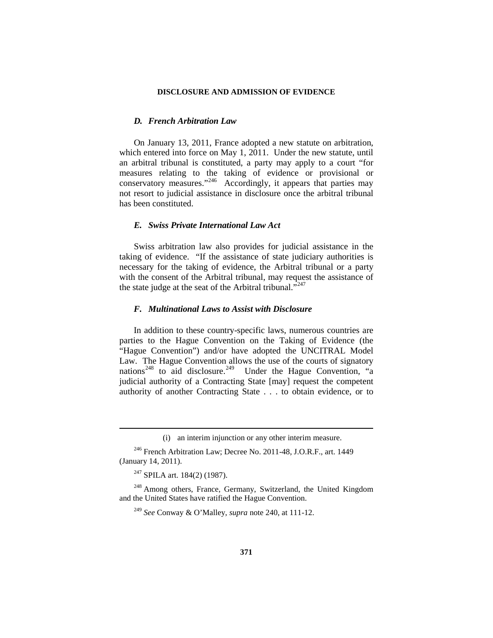## *D. French Arbitration Law*

On January 13, 2011, France adopted a new statute on arbitration, which entered into force on May 1, 2011. Under the new statute, until an arbitral tribunal is constituted, a party may apply to a court "for measures relating to the taking of evidence or provisional or conservatory measures."<sup>[246](#page-46-0)</sup> Accordingly, it appears that parties may not resort to judicial assistance in disclosure once the arbitral tribunal has been constituted.

## *E. Swiss Private International Law Act*

Swiss arbitration law also provides for judicial assistance in the taking of evidence. "If the assistance of state judiciary authorities is necessary for the taking of evidence, the Arbitral tribunal or a party with the consent of the Arbitral tribunal, may request the assistance of the state judge at the seat of the Arbitral tribunal."<sup>[247](#page-46-1)</sup>

### *F. Multinational Laws to Assist with Disclosure*

In addition to these country-specific laws, numerous countries are parties to the Hague Convention on the Taking of Evidence (the "Hague Convention") and/or have adopted the UNCITRAL Model Law. The Hague Convention allows the use of the courts of signatory nations<sup>[248](#page-46-2)</sup> to aid disclosure.<sup>[249](#page-46-3)</sup> Under the Hague Convention, "a judicial authority of a Contracting State [may] request the competent authority of another Contracting State . . . to obtain evidence, or to

<sup>247</sup> SPILA art. 184(2) (1987).

 $\overline{a}$ 

<span id="page-46-3"></span><span id="page-46-2"></span><span id="page-46-1"></span><sup>248</sup> Among others, France, Germany, Switzerland, the United Kingdom and the United States have ratified the Hague Convention.

<sup>(</sup>i) an interim injunction or any other interim measure.

<span id="page-46-0"></span><sup>246</sup> French Arbitration Law; Decree No. 2011-48, J.O.R.F., art. 1449 (January 14, 2011).

<sup>249</sup> *See* Conway & O'Malley, *supra* note 240, at 111-12.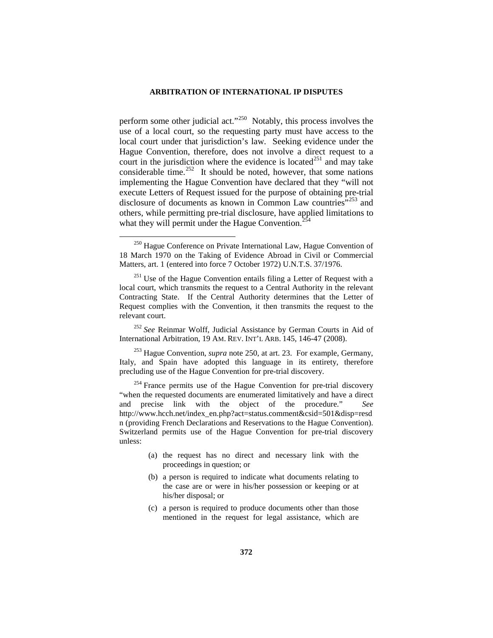perform some other judicial act."<sup>250</sup> Notably, this process involves the use of a local court, so the requesting party must have access to the local court under that jurisdiction's law. Seeking evidence under the Hague Convention, therefore, does not involve a direct request to a court in the jurisdiction where the evidence is located<sup>[251](#page-47-1)</sup> and may take considerable time.<sup>[252](#page-47-2)</sup> It should be noted, however, that some nations implementing the Hague Convention have declared that they "will not execute Letters of Request issued for the purpose of obtaining pre-trial disclosure of documents as known in Common Law countries<sup>"[253](#page-47-3)</sup> and others, while permitting pre-trial disclosure, have applied limitations to what they will permit under the Hague Convention. $<sup>2</sup>$ </sup>

- (b) a person is required to indicate what documents relating to the case are or were in his/her possession or keeping or at his/her disposal; or
- (c) a person is required to produce documents other than those mentioned in the request for legal assistance, which are

<span id="page-47-0"></span><sup>&</sup>lt;sup>250</sup> Hague Conference on Private International Law, Hague Convention of 18 March 1970 on the Taking of Evidence Abroad in Civil or Commercial Matters, art. 1 (entered into force 7 October 1972) U.N.T.S. 37/1976.

<span id="page-47-1"></span> $251$  Use of the Hague Convention entails filing a Letter of Request with a local court, which transmits the request to a Central Authority in the relevant Contracting State. If the Central Authority determines that the Letter of Request complies with the Convention, it then transmits the request to the relevant court.

<span id="page-47-2"></span><sup>252</sup> *See* Reinmar Wolff, Judicial Assistance by German Courts in Aid of International Arbitration, 19 AM. REV. INT'L ARB. 145, 146-47 (2008).

<span id="page-47-3"></span><sup>253</sup> Hague Convention, *supra* note 250, at art. 23. For example, Germany, Italy, and Spain have adopted this language in its entirety, therefore precluding use of the Hague Convention for pre-trial discovery.

<span id="page-47-4"></span> $254$  France permits use of the Hague Convention for pre-trial discovery "when the requested documents are enumerated limitatively and have a direct and precise link with the object of the procedure." *See*  http://www.hcch.net/index\_en.php?act=status.comment&csid=501&disp=resd n (providing French Declarations and Reservations to the Hague Convention). Switzerland permits use of the Hague Convention for pre-trial discovery unless:

<sup>(</sup>a) the request has no direct and necessary link with the proceedings in question; or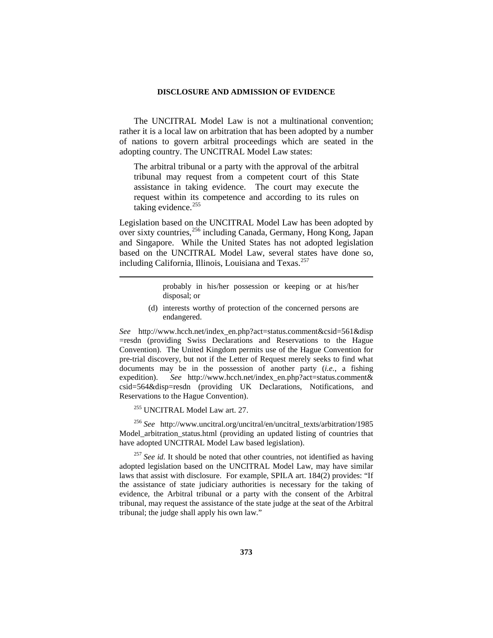The UNCITRAL Model Law is not a multinational convention; rather it is a local law on arbitration that has been adopted by a number of nations to govern arbitral proceedings which are seated in the adopting country. The UNCITRAL Model Law states:

The arbitral tribunal or a party with the approval of the arbitral tribunal may request from a competent court of this State assistance in taking evidence. The court may execute the request within its competence and according to its rules on taking evidence.<sup>[255](#page-48-0)</sup>

Legislation based on the UNCITRAL Model Law has been adopted by over sixty countries,[256](#page-48-1) including Canada, Germany, Hong Kong, Japan and Singapore. While the United States has not adopted legislation based on the UNCITRAL Model Law, several states have done so, including California, Illinois, Louisiana and Texas.<sup>[257](#page-48-2)</sup>

> probably in his/her possession or keeping or at his/her disposal; or

(d) interests worthy of protection of the concerned persons are endangered.

*See* http://www.hcch.net/index\_en.php?act=status.comment&csid=561&disp =resdn (providing Swiss Declarations and Reservations to the Hague Convention). The United Kingdom permits use of the Hague Convention for pre-trial discovery, but not if the Letter of Request merely seeks to find what documents may be in the possession of another party (*i.e.*, a fishing expedition). *See* http://www.hcch.net/index en.php?act=status.comment& csid=564&disp=resdn (providing UK Declarations, Notifications, and Reservations to the Hague Convention).

<sup>255</sup> UNCITRAL Model Law art. 27.

 $\overline{a}$ 

<span id="page-48-1"></span><span id="page-48-0"></span><sup>256</sup> *See* http://www.uncitral.org/uncitral/en/uncitral\_texts/arbitration/1985 Model arbitration status.html (providing an updated listing of countries that have adopted UNCITRAL Model Law based legislation).

<span id="page-48-2"></span><sup>257</sup> See id. It should be noted that other countries, not identified as having adopted legislation based on the UNCITRAL Model Law, may have similar laws that assist with disclosure. For example, SPILA art. 184(2) provides: "If the assistance of state judiciary authorities is necessary for the taking of evidence, the Arbitral tribunal or a party with the consent of the Arbitral tribunal, may request the assistance of the state judge at the seat of the Arbitral tribunal; the judge shall apply his own law."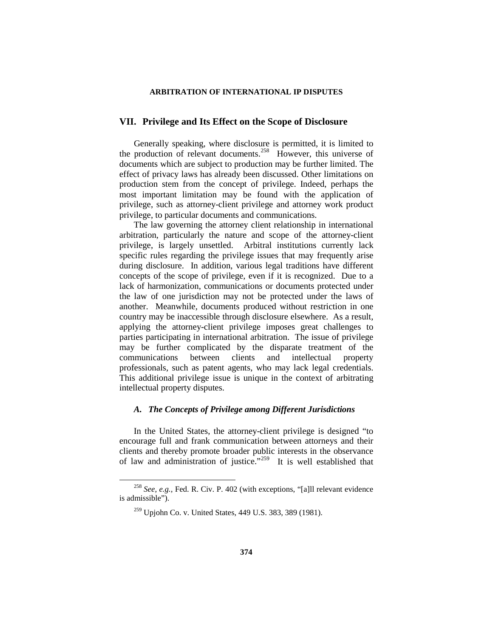## **VII. Privilege and Its Effect on the Scope of Disclosure**

Generally speaking, where disclosure is permitted, it is limited to the production of relevant documents.[258](#page-49-0) However, this universe of documents which are subject to production may be further limited. The effect of privacy laws has already been discussed. Other limitations on production stem from the concept of privilege. Indeed, perhaps the most important limitation may be found with the application of privilege, such as attorney-client privilege and attorney work product privilege, to particular documents and communications.

The law governing the attorney client relationship in international arbitration, particularly the nature and scope of the attorney-client privilege, is largely unsettled. Arbitral institutions currently lack specific rules regarding the privilege issues that may frequently arise during disclosure. In addition, various legal traditions have different concepts of the scope of privilege, even if it is recognized. Due to a lack of harmonization, communications or documents protected under the law of one jurisdiction may not be protected under the laws of another. Meanwhile, documents produced without restriction in one country may be inaccessible through disclosure elsewhere. As a result, applying the attorney-client privilege imposes great challenges to parties participating in international arbitration. The issue of privilege may be further complicated by the disparate treatment of the communications between clients and intellectual property professionals, such as patent agents, who may lack legal credentials. This additional privilege issue is unique in the context of arbitrating intellectual property disputes.

### *A. The Concepts of Privilege among Different Jurisdictions*

In the United States, the attorney-client privilege is designed "to encourage full and frank communication between attorneys and their clients and thereby promote broader public interests in the observance of law and administration of justice."[259](#page-49-1) It is well established that

<span id="page-49-1"></span><span id="page-49-0"></span> <sup>258</sup> *See, e.g.,* Fed. R. Civ. P. 402 (with exceptions, "[a]ll relevant evidence is admissible").

<sup>259</sup> Upjohn Co. v. United States, 449 U.S. 383, 389 (1981).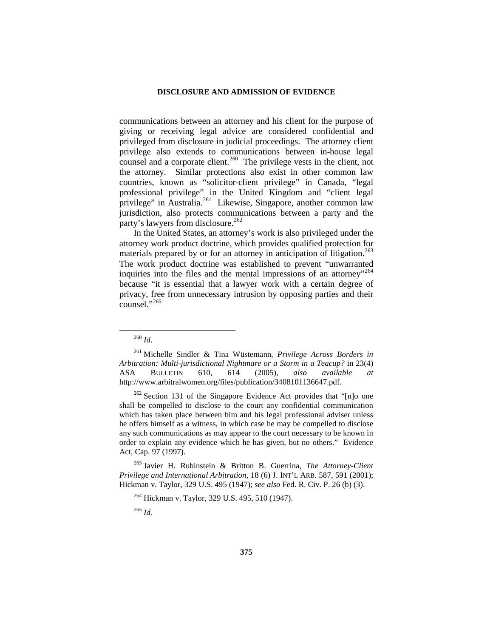communications between an attorney and his client for the purpose of giving or receiving legal advice are considered confidential and privileged from disclosure in judicial proceedings. The attorney client privilege also extends to communications between in-house legal counsel and a corporate client.<sup>260</sup> The privilege vests in the client, not the attorney. Similar protections also exist in other common law countries, known as "solicitor-client privilege" in Canada, "legal professional privilege" in the United Kingdom and "client legal privilege" in Australia.<sup>261</sup> Likewise, Singapore, another common law jurisdiction, also protects communications between a party and the party's lawyers from disclosure.<sup>[262](#page-50-2)</sup>

In the United States, an attorney's work is also privileged under the attorney work product doctrine, which provides qualified protection for materials prepared by or for an attorney in anticipation of litigation.<sup>[263](#page-50-3)</sup> The work product doctrine was established to prevent "unwarranted inquiries into the files and the mental impressions of an attorney"<sup>[264](#page-50-4)</sup> because "it is essential that a lawyer work with a certain degree of privacy, free from unnecessary intrusion by opposing parties and their  $\frac{1}{265}$  $\frac{1}{265}$  $\frac{1}{265}$ .

<span id="page-50-2"></span> $262$  Section 131 of the Singapore Evidence Act provides that "[n]o one shall be compelled to disclose to the court any confidential communication which has taken place between him and his legal professional adviser unless he offers himself as a witness, in which case he may be compelled to disclose any such communications as may appear to the court necessary to be known in order to explain any evidence which he has given, but no others." Evidence Act, Cap. 97 (1997).

<span id="page-50-5"></span><span id="page-50-4"></span><span id="page-50-3"></span><sup>263</sup> Javier H. Rubinstein & Britton B. Guerrina, *The Attorney-Client Privilege and International Arbitration*, 18 (6) J. INT'L ARB. 587, 591 (2001); Hickman v. Taylor, 329 U.S. 495 (1947); *see also* Fed. R. Civ. P. 26 (b) (3).

<sup>264</sup> Hickman v. Taylor, 329 U.S. 495, 510 (1947).

<sup>265</sup> *Id.*

 <sup>260</sup> *Id*.

<span id="page-50-1"></span><span id="page-50-0"></span><sup>261</sup> Michelle Sindler & Tina Wüstemann, *Privilege Across Borders in Arbitration: Multi-jurisdictional Nightmare or a Storm in a Teacup?* in 23(4) ASA BULLETIN 610, 614 (2005), *also available at* http://www.arbitralwomen.org/files/publication/3408101136647.pdf.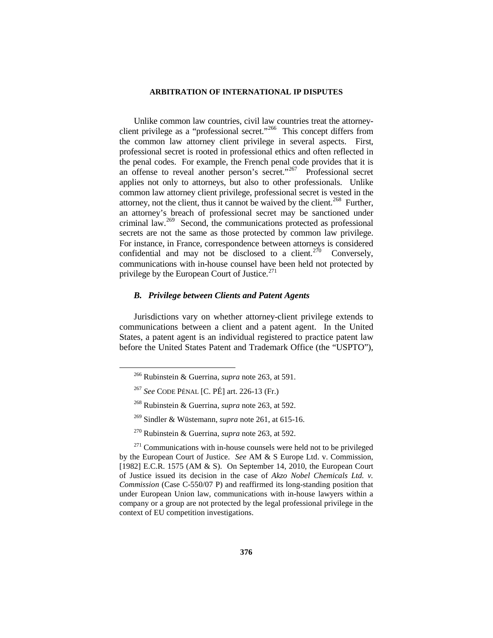Unlike common law countries, civil law countries treat the attorneyclient privilege as a "professional secret."[266](#page-51-0) This concept differs from the common law attorney client privilege in several aspects. First, professional secret is rooted in professional ethics and often reflected in the penal codes. For example, the French penal code provides that it is an offense to reveal another person's secret."<sup>[267](#page-51-1)</sup> Professional secret applies not only to attorneys, but also to other professionals. Unlike common law attorney client privilege, professional secret is vested in the attorney, not the client, thus it cannot be waived by the client.<sup>[268](#page-51-2)</sup> Further, an attorney's breach of professional secret may be sanctioned under criminal law.[269](#page-51-3) Second, the communications protected as professional secrets are not the same as those protected by common law privilege. For instance, in France, correspondence between attorneys is considered confidential and may not be disclosed to a client.<sup>[270](#page-51-4)</sup> Conversely, communications with in-house counsel have been held not protected by privilege by the European Court of Justice.<sup>[271](#page-51-5)</sup>

### *B. Privilege between Clients and Patent Agents*

<span id="page-51-0"></span>Jurisdictions vary on whether attorney-client privilege extends to communications between a client and a patent agent. In the United States, a patent agent is an individual registered to practice patent law before the United States Patent and Trademark Office (the "USPTO"),

 <sup>266</sup> Rubinstein & Guerrina, *supra* note 263, at 591.

<sup>267</sup> *See* CODE PÉNAL [C. PÉ] art. 226-13 (Fr.)

<sup>268</sup> Rubinstein & Guerrina, *supra* note 263, at 592.

<sup>269</sup> Sindler & Wüstemann, *supra* note 261, at 615-16.

<sup>270</sup> Rubinstein & Guerrina, *supra* note 263, at 592.

<span id="page-51-5"></span><span id="page-51-4"></span><span id="page-51-3"></span><span id="page-51-2"></span><span id="page-51-1"></span> $271$  Communications with in-house counsels were held not to be privileged by the European Court of Justice. *See* AM & S Europe Ltd. v. Commission, [1982] E.C.R. 1575 (AM & S). On September 14, 2010, the European Court of Justice issued its decision in the case of *Akzo Nobel Chemicals Ltd. v. Commission* (Case C-550/07 P) and reaffirmed its long-standing position that under European Union law, communications with in-house lawyers within a company or a group are not protected by the legal professional privilege in the context of EU competition investigations.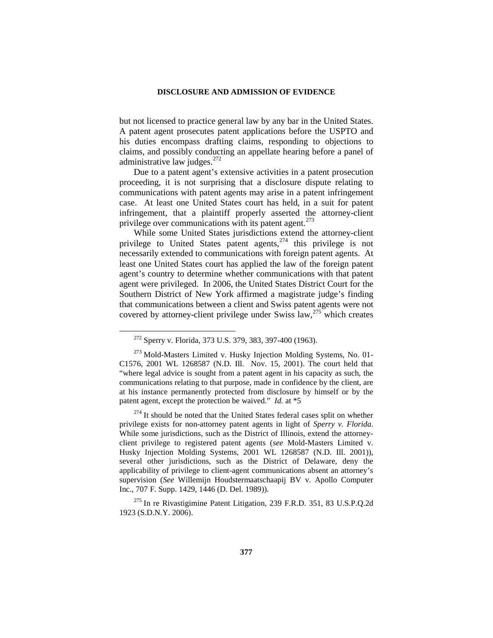but not licensed to practice general law by any bar in the United States. A patent agent prosecutes patent applications before the USPTO and his duties encompass drafting claims, responding to objections to claims, and possibly conducting an appellate hearing before a panel of administrative law judges. $272$ 

Due to a patent agent's extensive activities in a patent prosecution proceeding, it is not surprising that a disclosure dispute relating to communications with patent agents may arise in a patent infringement case. At least one United States court has held, in a suit for patent infringement, that a plaintiff properly asserted the attorney-client privilege over communications with its patent agent.<sup>[273](#page-52-1)</sup>

While some United States jurisdictions extend the attorney-client privilege to United States patent agents,<sup>[274](#page-52-2)</sup> this privilege is not necessarily extended to communications with foreign patent agents. At least one United States court has applied the law of the foreign patent agent's country to determine whether communications with that patent agent were privileged. In 2006, the United States District Court for the Southern District of New York affirmed a magistrate judge's finding that communications between a client and Swiss patent agents were not covered by attorney-client privilege under Swiss  $\text{law},^{275}$  $\text{law},^{275}$  $\text{law},^{275}$  which creates

<span id="page-52-2"></span><sup>274</sup> It should be noted that the United States federal cases split on whether privilege exists for non-attorney patent agents in light of *Sperry v. Florida*. While some jurisdictions, such as the District of Illinois, extend the attorneyclient privilege to registered patent agents (*see* Mold-Masters Limited v. Husky Injection Molding Systems, 2001 WL 1268587 (N.D. Ill. 2001)), several other jurisdictions, such as the District of Delaware, deny the applicability of privilege to client-agent communications absent an attorney's supervision (*See* Willemijn Houdstermaatschaapij BV v. Apollo Computer Inc., 707 F. Supp. 1429, 1446 (D. Del. 1989)).

<span id="page-52-3"></span><sup>275</sup> In re Rivastigimine Patent Litigation, 239 F.R.D. 351, 83 U.S.P.Q.2d 1923 (S.D.N.Y. 2006).

 <sup>272</sup> Sperry v. Florida, <sup>373</sup> U.S. 379, 383, 397-400 (1963).

<span id="page-52-1"></span><span id="page-52-0"></span><sup>&</sup>lt;sup>273</sup> Mold-Masters Limited v. Husky Injection Molding Systems, No. 01-C1576, 2001 WL 1268587 (N.D. Ill. Nov. 15, 2001). The court held that "where legal advice is sought from a patent agent in his capacity as such, the communications relating to that purpose, made in confidence by the client, are at his instance permanently protected from disclosure by himself or by the patent agent, except the protection be waived." *Id.* at \*5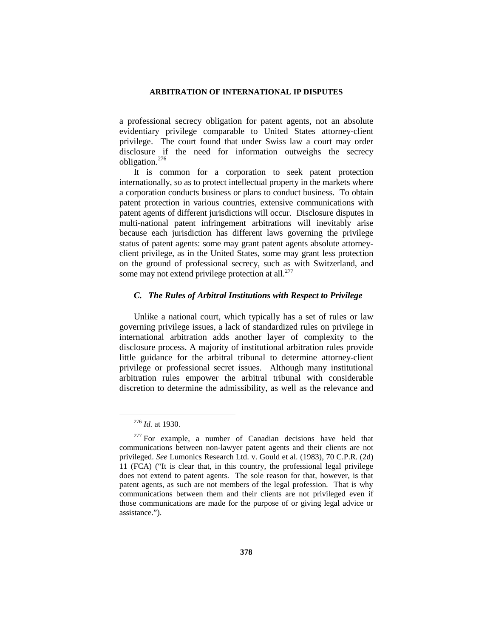a professional secrecy obligation for patent agents, not an absolute evidentiary privilege comparable to United States attorney-client privilege. The court found that under Swiss law a court may order disclosure if the need for information outweighs the secrecy obligation.[276](#page-53-0)

It is common for a corporation to seek patent protection internationally, so as to protect intellectual property in the markets where a corporation conducts business or plans to conduct business. To obtain patent protection in various countries, extensive communications with patent agents of different jurisdictions will occur. Disclosure disputes in multi-national patent infringement arbitrations will inevitably arise because each jurisdiction has different laws governing the privilege status of patent agents: some may grant patent agents absolute attorneyclient privilege, as in the United States, some may grant less protection on the ground of professional secrecy, such as with Switzerland, and some may not extend privilege protection at all.<sup>[277](#page-53-1)</sup>

### *C. The Rules of Arbitral Institutions with Respect to Privilege*

Unlike a national court, which typically has a set of rules or law governing privilege issues, a lack of standardized rules on privilege in international arbitration adds another layer of complexity to the disclosure process. A majority of institutional arbitration rules provide little guidance for the arbitral tribunal to determine attorney-client privilege or professional secret issues. Although many institutional arbitration rules empower the arbitral tribunal with considerable discretion to determine the admissibility, as well as the relevance and

 <sup>276</sup> *Id.* at 1930.

<span id="page-53-1"></span><span id="page-53-0"></span><sup>&</sup>lt;sup>277</sup> For example, a number of Canadian decisions have held that communications between non-lawyer patent agents and their clients are not privileged. *See* Lumonics Research Ltd. v. Gould et al. (1983), 70 C.P.R. (2d) 11 (FCA) ("It is clear that, in this country, the professional legal privilege does not extend to patent agents. The sole reason for that, however, is that patent agents, as such are not members of the legal profession. That is why communications between them and their clients are not privileged even if those communications are made for the purpose of or giving legal advice or assistance.").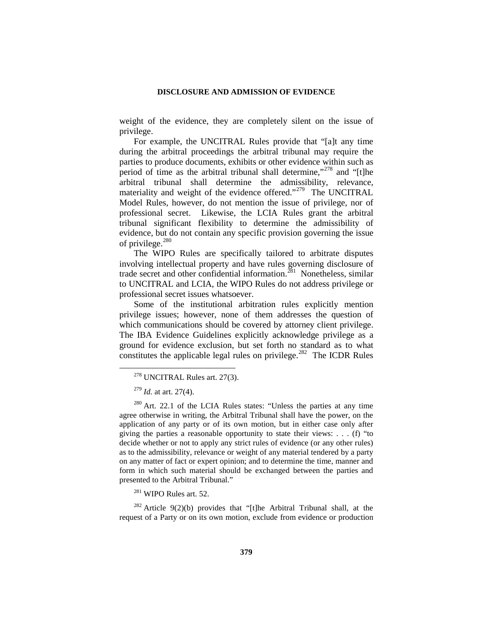weight of the evidence, they are completely silent on the issue of privilege.

For example, the UNCITRAL Rules provide that "[a]t any time during the arbitral proceedings the arbitral tribunal may require the parties to produce documents, exhibits or other evidence within such as period of time as the arbitral tribunal shall determine,"<sup>[278](#page-54-0)</sup> and "[t]he arbitral tribunal shall determine the admissibility, relevance, materiality and weight of the evidence offered."<sup>279</sup> The UNCITRAL Model Rules, however, do not mention the issue of privilege, nor of professional secret. Likewise, the LCIA Rules grant the arbitral tribunal significant flexibility to determine the admissibility of evidence, but do not contain any specific provision governing the issue of privilege. $280$ 

The WIPO Rules are specifically tailored to arbitrate disputes involving intellectual property and have rules governing disclosure of trade secret and other confidential information.<sup> $281$ </sup> Nonetheless, similar to UNCITRAL and LCIA, the WIPO Rules do not address privilege or professional secret issues whatsoever.

Some of the institutional arbitration rules explicitly mention privilege issues; however, none of them addresses the question of which communications should be covered by attorney client privilege. The IBA Evidence Guidelines explicitly acknowledge privilege as a ground for evidence exclusion, but set forth no standard as to what constitutes the applicable legal rules on privilege.<sup>[282](#page-54-4)</sup> The ICDR Rules

<sup>281</sup> WIPO Rules art. 52.

<span id="page-54-4"></span><span id="page-54-3"></span><sup>282</sup> Article 9(2)(b) provides that "[t]he Arbitral Tribunal shall, at the request of a Party or on its own motion, exclude from evidence or production

 <sup>278</sup> UNCITRAL Rules art. 27(3).

<sup>279</sup> *Id.* at art. 27(4).

<span id="page-54-2"></span><span id="page-54-1"></span><span id="page-54-0"></span><sup>&</sup>lt;sup>280</sup> Art. 22.1 of the LCIA Rules states: "Unless the parties at any time agree otherwise in writing, the Arbitral Tribunal shall have the power, on the application of any party or of its own motion, but in either case only after giving the parties a reasonable opportunity to state their views:  $\dots$  (f) "to decide whether or not to apply any strict rules of evidence (or any other rules) as to the admissibility, relevance or weight of any material tendered by a party on any matter of fact or expert opinion; and to determine the time, manner and form in which such material should be exchanged between the parties and presented to the Arbitral Tribunal."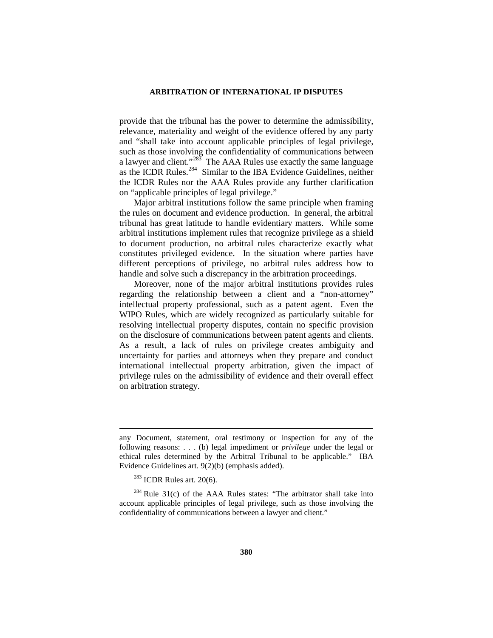provide that the tribunal has the power to determine the admissibility, relevance, materiality and weight of the evidence offered by any party and "shall take into account applicable principles of legal privilege, such as those involving the confidentiality of communications between a lawyer and client."[283](#page-55-0) The AAA Rules use exactly the same language as the ICDR Rules.<sup>284</sup> Similar to the IBA Evidence Guidelines, neither the ICDR Rules nor the AAA Rules provide any further clarification on "applicable principles of legal privilege."

Major arbitral institutions follow the same principle when framing the rules on document and evidence production. In general, the arbitral tribunal has great latitude to handle evidentiary matters. While some arbitral institutions implement rules that recognize privilege as a shield to document production, no arbitral rules characterize exactly what constitutes privileged evidence. In the situation where parties have different perceptions of privilege, no arbitral rules address how to handle and solve such a discrepancy in the arbitration proceedings.

Moreover, none of the major arbitral institutions provides rules regarding the relationship between a client and a "non-attorney" intellectual property professional, such as a patent agent. Even the WIPO Rules, which are widely recognized as particularly suitable for resolving intellectual property disputes, contain no specific provision on the disclosure of communications between patent agents and clients. As a result, a lack of rules on privilege creates ambiguity and uncertainty for parties and attorneys when they prepare and conduct international intellectual property arbitration, given the impact of privilege rules on the admissibility of evidence and their overall effect on arbitration strategy.

 $\overline{a}$ 

any Document, statement, oral testimony or inspection for any of the following reasons: . . . (b) legal impediment or *privilege* under the legal or ethical rules determined by the Arbitral Tribunal to be applicable." IBA Evidence Guidelines art. 9(2)(b) (emphasis added).

 $283$  ICDR Rules art. 20(6).

<span id="page-55-1"></span><span id="page-55-0"></span> $284$  Rule 31(c) of the AAA Rules states: "The arbitrator shall take into account applicable principles of legal privilege, such as those involving the confidentiality of communications between a lawyer and client."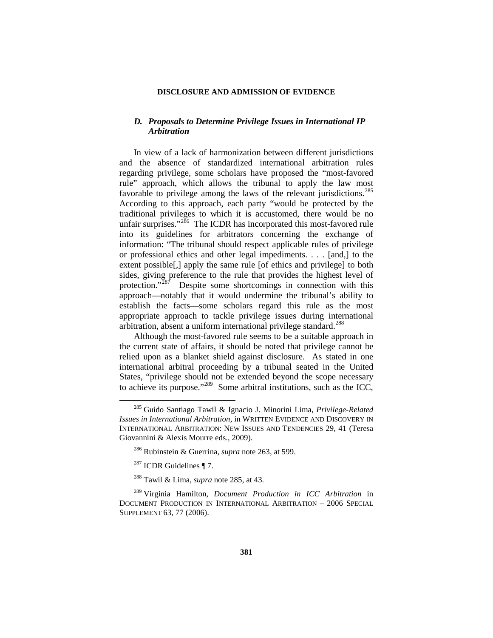## *D. Proposals to Determine Privilege Issues in International IP Arbitration*

In view of a lack of harmonization between different jurisdictions and the absence of standardized international arbitration rules regarding privilege, some scholars have proposed the "most-favored rule" approach, which allows the tribunal to apply the law most favorable to privilege among the laws of the relevant jurisdictions.<sup>285</sup> According to this approach, each party "would be protected by the traditional privileges to which it is accustomed, there would be no unfair surprises."<sup>[286](#page-56-1)</sup> The ICDR has incorporated this most-favored rule into its guidelines for arbitrators concerning the exchange of information: "The tribunal should respect applicable rules of privilege or professional ethics and other legal impediments. . . . [and,] to the extent possible[,] apply the same rule [of ethics and privilege] to both sides, giving preference to the rule that provides the highest level of protection."<sup>287</sup> Despite some shortcomings in connection with this approach—notably that it would undermine the tribunal's ability to establish the facts—some scholars regard this rule as the most appropriate approach to tackle privilege issues during international arbitration, absent a uniform international privilege standard.<sup>[288](#page-56-3)</sup>

Although the most-favored rule seems to be a suitable approach in the current state of affairs, it should be noted that privilege cannot be relied upon as a blanket shield against disclosure. As stated in one international arbitral proceeding by a tribunal seated in the United States, "privilege should not be extended beyond the scope necessary to achieve its purpose."[289](#page-56-4) Some arbitral institutions, such as the ICC,

<span id="page-56-4"></span><span id="page-56-3"></span><span id="page-56-2"></span><span id="page-56-1"></span><sup>289</sup> Virginia Hamilton, *Document Production in ICC Arbitration* in DOCUMENT PRODUCTION IN INTERNATIONAL ARBITRATION – 2006 SPECIAL SUPPLEMENT 63, 77 (2006).

<span id="page-56-0"></span> <sup>285</sup> Guido Santiago Tawil & Ignacio J. Minorini Lima, *Privilege-Related Issues in International Arbitration*, in WRITTEN EVIDENCE AND DISCOVERY IN INTERNATIONAL ARBITRATION: NEW ISSUES AND TENDENCIES 29, 41 (Teresa Giovannini & Alexis Mourre eds., 2009).

<sup>286</sup> Rubinstein & Guerrina, *supra* note 263, at 599.

 $287$  ICDR Guidelines ¶ 7.

<sup>288</sup> Tawil & Lima, *supra* note 285, at 43.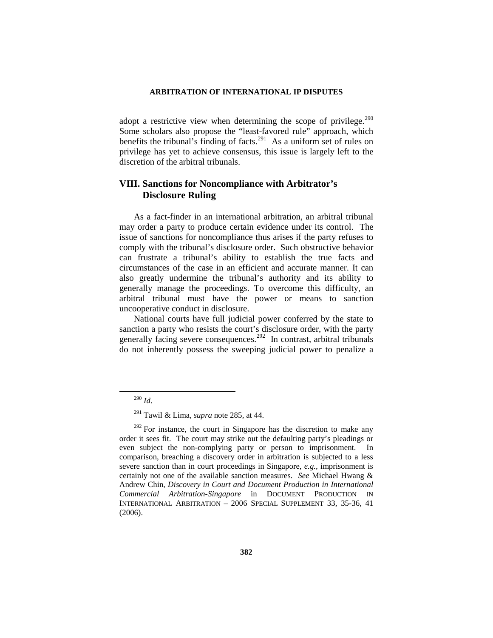adopt a restrictive view when determining the scope of privilege.<sup>290</sup> Some scholars also propose the "least-favored rule" approach, which benefits the tribunal's finding of facts.<sup>291</sup> As a uniform set of rules on privilege has yet to achieve consensus, this issue is largely left to the discretion of the arbitral tribunals.

## **VIII. Sanctions for Noncompliance with Arbitrator's Disclosure Ruling**

As a fact-finder in an international arbitration, an arbitral tribunal may order a party to produce certain evidence under its control. The issue of sanctions for noncompliance thus arises if the party refuses to comply with the tribunal's disclosure order. Such obstructive behavior can frustrate a tribunal's ability to establish the true facts and circumstances of the case in an efficient and accurate manner. It can also greatly undermine the tribunal's authority and its ability to generally manage the proceedings. To overcome this difficulty, an arbitral tribunal must have the power or means to sanction uncooperative conduct in disclosure.

National courts have full judicial power conferred by the state to sanction a party who resists the court's disclosure order, with the party generally facing severe consequences.<sup>[292](#page-57-2)</sup> In contrast, arbitral tribunals do not inherently possess the sweeping judicial power to penalize a

 <sup>290</sup> *Id*.

<sup>291</sup> Tawil & Lima, *supra* note 285, at 44.

<span id="page-57-2"></span><span id="page-57-1"></span><span id="page-57-0"></span> $292$  For instance, the court in Singapore has the discretion to make any order it sees fit. The court may strike out the defaulting party's pleadings or even subject the non-complying party or person to imprisonment. In comparison, breaching a discovery order in arbitration is subjected to a less severe sanction than in court proceedings in Singapore, *e.g.,* imprisonment is certainly not one of the available sanction measures. *See* Michael Hwang & Andrew Chin, *Discovery in Court and Document Production in International Commercial Arbitration-Singapore* in DOCUMENT PRODUCTION IN INTERNATIONAL ARBITRATION – 2006 SPECIAL SUPPLEMENT 33, 35-36, 41 (2006).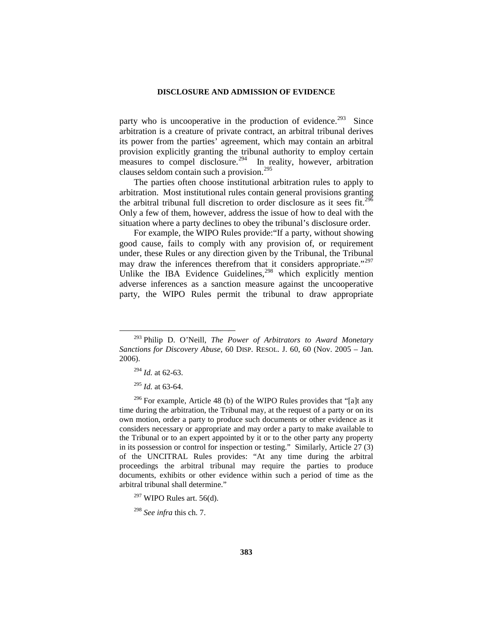party who is uncooperative in the production of evidence.<sup>293</sup> Since arbitration is a creature of private contract, an arbitral tribunal derives its power from the parties' agreement, which may contain an arbitral provision explicitly granting the tribunal authority to employ certain measures to compel disclosure.<sup>294</sup> In reality, however, arbitration clauses seldom contain such a provision.<sup>[295](#page-58-2)</sup>

The parties often choose institutional arbitration rules to apply to arbitration. Most institutional rules contain general provisions granting the arbitral tribunal full discretion to order disclosure as it sees fit.<sup>296</sup> Only a few of them, however, address the issue of how to deal with the situation where a party declines to obey the tribunal's disclosure order.

For example, the WIPO Rules provide:"If a party, without showing good cause, fails to comply with any provision of, or requirement under, these Rules or any direction given by the Tribunal, the Tribunal may draw the inferences therefrom that it considers appropriate."<sup>297</sup> Unlike the IBA Evidence Guidelines,<sup>[298](#page-58-5)</sup> which explicitly mention adverse inferences as a sanction measure against the uncooperative party, the WIPO Rules permit the tribunal to draw appropriate

<span id="page-58-0"></span> <sup>293</sup> Philip D. O'Neill, *The Power of Arbitrators to Award Monetary Sanctions for Discovery Abuse*, 60 DISP. RESOL. J. 60, 60 (Nov. 2005 – Jan. 2006).

<sup>294</sup> *Id.* at 62-63.

<sup>295</sup> *Id.* at 63-64.

<span id="page-58-3"></span><span id="page-58-2"></span><span id="page-58-1"></span> $296$  For example, Article 48 (b) of the WIPO Rules provides that "[a]t any time during the arbitration, the Tribunal may, at the request of a party or on its own motion, order a party to produce such documents or other evidence as it considers necessary or appropriate and may order a party to make available to the Tribunal or to an expert appointed by it or to the other party any property in its possession or control for inspection or testing." Similarly, Article 27 (3) of the UNCITRAL Rules provides: "At any time during the arbitral proceedings the arbitral tribunal may require the parties to produce documents, exhibits or other evidence within such a period of time as the arbitral tribunal shall determine."

<span id="page-58-4"></span> $297$  WIPO Rules art. 56(d).

<span id="page-58-5"></span><sup>298</sup> *See infra* this ch. 7.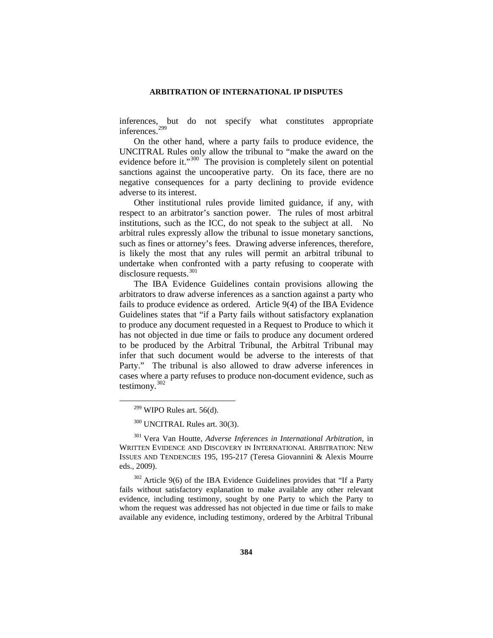inferences, but do not specify what constitutes appropriate inferences.[299](#page-59-0)

On the other hand, where a party fails to produce evidence, the UNCITRAL Rules only allow the tribunal to "make the award on the evidence before it."<sup>[300](#page-59-1)</sup> The provision is completely silent on potential sanctions against the uncooperative party. On its face, there are no negative consequences for a party declining to provide evidence adverse to its interest.

Other institutional rules provide limited guidance, if any, with respect to an arbitrator's sanction power. The rules of most arbitral institutions, such as the ICC, do not speak to the subject at all. No arbitral rules expressly allow the tribunal to issue monetary sanctions, such as fines or attorney's fees. Drawing adverse inferences, therefore, is likely the most that any rules will permit an arbitral tribunal to undertake when confronted with a party refusing to cooperate with disclosure requests.<sup>[301](#page-59-2)</sup>

The IBA Evidence Guidelines contain provisions allowing the arbitrators to draw adverse inferences as a sanction against a party who fails to produce evidence as ordered. Article 9(4) of the IBA Evidence Guidelines states that "if a Party fails without satisfactory explanation to produce any document requested in a Request to Produce to which it has not objected in due time or fails to produce any document ordered to be produced by the Arbitral Tribunal, the Arbitral Tribunal may infer that such document would be adverse to the interests of that Party." The tribunal is also allowed to draw adverse inferences in cases where a party refuses to produce non-document evidence, such as testimony.[302](#page-59-3)

<sup>300</sup> UNCITRAL Rules art. 30(3).

<span id="page-59-2"></span><span id="page-59-1"></span><span id="page-59-0"></span><sup>301</sup> Vera Van Houtte, *Adverse Inferences in International Arbitration*, in WRITTEN EVIDENCE AND DISCOVERY IN INTERNATIONAL ARBITRATION: NEW ISSUES AND TENDENCIES 195, 195-217 (Teresa Giovannini & Alexis Mourre eds., 2009).

<span id="page-59-3"></span><sup>302</sup> Article 9(6) of the IBA Evidence Guidelines provides that "If a Party fails without satisfactory explanation to make available any other relevant evidence, including testimony, sought by one Party to which the Party to whom the request was addressed has not objected in due time or fails to make available any evidence, including testimony, ordered by the Arbitral Tribunal

 $299$  WIPO Rules art. 56(d).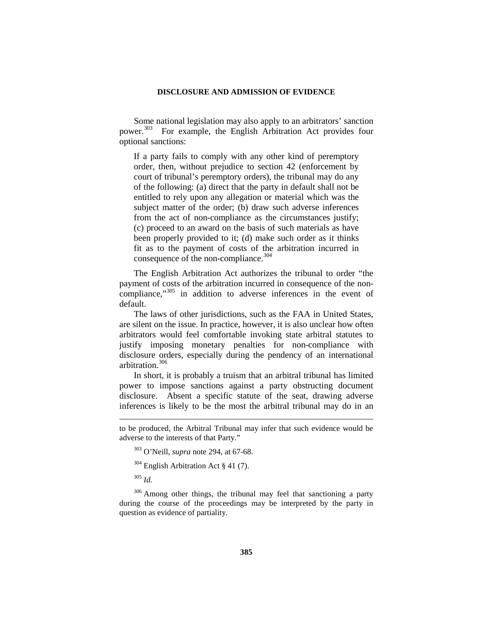Some national legislation may also apply to an arbitrators' sanction power.[303](#page-60-0) For example, the English Arbitration Act provides four optional sanctions:

If a party fails to comply with any other kind of peremptory order, then, without prejudice to section 42 (enforcement by court of tribunal's peremptory orders), the tribunal may do any of the following: (a) direct that the party in default shall not be entitled to rely upon any allegation or material which was the subject matter of the order; (b) draw such adverse inferences from the act of non-compliance as the circumstances justify; (c) proceed to an award on the basis of such materials as have been properly provided to it; (d) make such order as it thinks fit as to the payment of costs of the arbitration incurred in consequence of the non-compliance.<sup>304</sup>

The English Arbitration Act authorizes the tribunal to order "the payment of costs of the arbitration incurred in consequence of the non-compliance,"<sup>[305](#page-60-2)</sup> in addition to adverse inferences in the event of default.

The laws of other jurisdictions, such as the FAA in United States, are silent on the issue. In practice, however, it is also unclear how often arbitrators would feel comfortable invoking state arbitral statutes to justify imposing monetary penalties for non-compliance with disclosure orders, especially during the pendency of an international arbitration.[306](#page-60-3)

In short, it is probably a truism that an arbitral tribunal has limited power to impose sanctions against a party obstructing document disclosure. Absent a specific statute of the seat, drawing adverse inferences is likely to be the most the arbitral tribunal may do in an

<span id="page-60-3"></span><span id="page-60-2"></span><span id="page-60-1"></span><sup>306</sup> Among other things, the tribunal may feel that sanctioning a party during the course of the proceedings may be interpreted by the party in question as evidence of partiality.

<span id="page-60-0"></span>to be produced, the Arbitral Tribunal may infer that such evidence would be adverse to the interests of that Party."

<sup>303</sup> O'Neill, *supra* note 294, at 67-68.

 $304$  English Arbitration Act § 41 (7).

<sup>305</sup> *Id.*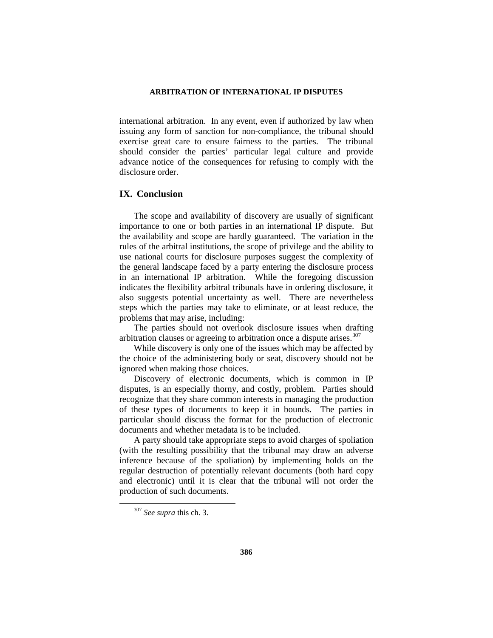international arbitration. In any event, even if authorized by law when issuing any form of sanction for non-compliance, the tribunal should exercise great care to ensure fairness to the parties. The tribunal should consider the parties' particular legal culture and provide advance notice of the consequences for refusing to comply with the disclosure order.

## **IX. Conclusion**

The scope and availability of discovery are usually of significant importance to one or both parties in an international IP dispute. But the availability and scope are hardly guaranteed. The variation in the rules of the arbitral institutions, the scope of privilege and the ability to use national courts for disclosure purposes suggest the complexity of the general landscape faced by a party entering the disclosure process in an international IP arbitration. While the foregoing discussion indicates the flexibility arbitral tribunals have in ordering disclosure, it also suggests potential uncertainty as well. There are nevertheless steps which the parties may take to eliminate, or at least reduce, the problems that may arise, including:

The parties should not overlook disclosure issues when drafting arbitration clauses or agreeing to arbitration once a dispute arises.<sup>[307](#page-61-0)</sup>

While discovery is only one of the issues which may be affected by the choice of the administering body or seat, discovery should not be ignored when making those choices.

Discovery of electronic documents, which is common in IP disputes, is an especially thorny, and costly, problem. Parties should recognize that they share common interests in managing the production of these types of documents to keep it in bounds. The parties in particular should discuss the format for the production of electronic documents and whether metadata is to be included.

A party should take appropriate steps to avoid charges of spoliation (with the resulting possibility that the tribunal may draw an adverse inference because of the spoliation) by implementing holds on the regular destruction of potentially relevant documents (both hard copy and electronic) until it is clear that the tribunal will not order the production of such documents.

<span id="page-61-0"></span> <sup>307</sup> *See supra* this ch. 3.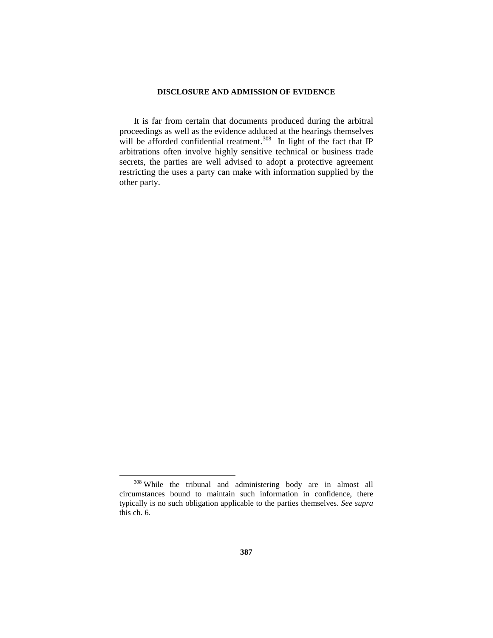It is far from certain that documents produced during the arbitral proceedings as well as the evidence adduced at the hearings themselves will be afforded confidential treatment.<sup>308</sup> In light of the fact that IP arbitrations often involve highly sensitive technical or business trade secrets, the parties are well advised to adopt a protective agreement restricting the uses a party can make with information supplied by the other party.

<span id="page-62-0"></span> <sup>308</sup> While the tribunal and administering body are in almost all circumstances bound to maintain such information in confidence, there typically is no such obligation applicable to the parties themselves. *See supra* this ch. 6.